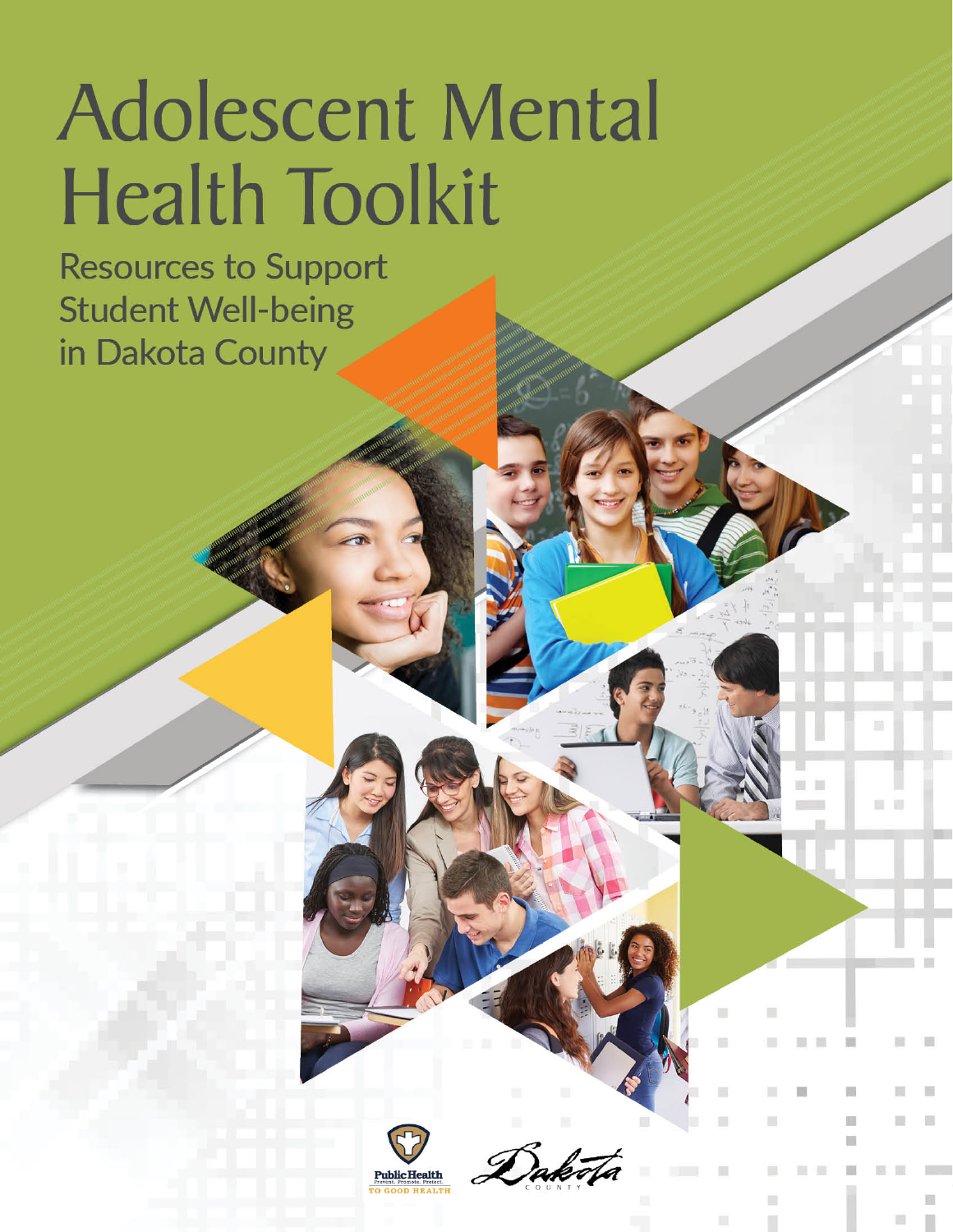# **Adolescent Mental Health Toolkit**

**Resources to Support Student Well-being** in Dakota County

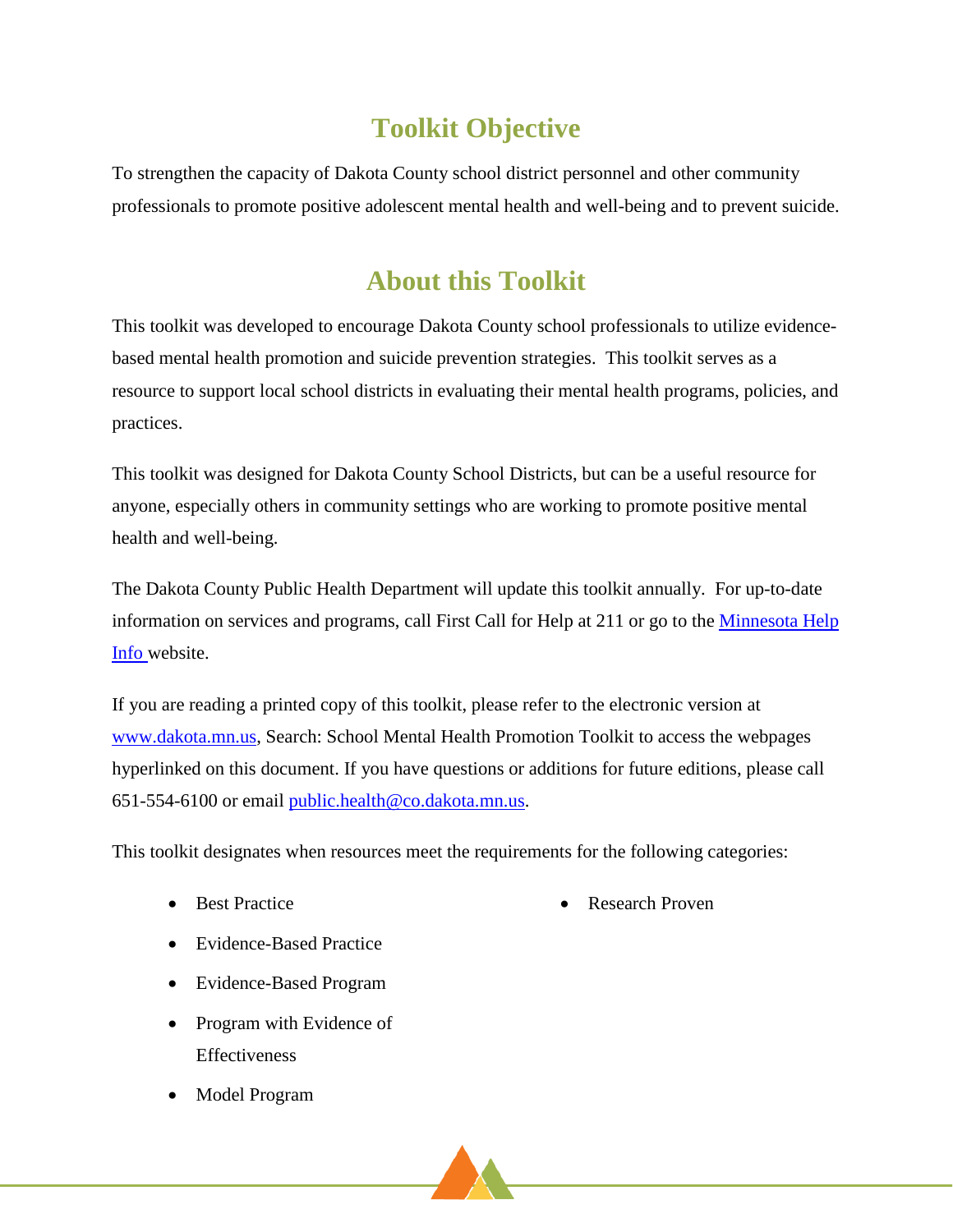# **Toolkit Objective**

To strengthen the capacity of Dakota County school district personnel and other community professionals to promote positive adolescent mental health and well-being and to prevent suicide.

# **About this Toolkit**

This toolkit was developed to encourage Dakota County school professionals to utilize evidencebased mental health promotion and suicide prevention strategies. This toolkit serves as a resource to support local school districts in evaluating their mental health programs, policies, and practices.

This toolkit was designed for Dakota County School Districts, but can be a useful resource for anyone, especially others in community settings who are working to promote positive mental health and well-being.

The Dakota County Public Health Department will update this toolkit annually. For up-to-date information on services and programs, call First Call for Help at 211 or go to the Minnesota Help [Info](https://www.minnesotahelp.info/Index) website.

If you are reading a printed copy of this toolkit, please refer to the electronic version at [www.dakota.mn.us,](http://www.dakota.mn.us/) Search: School Mental Health Promotion Toolkit to access the webpages hyperlinked on this document. If you have questions or additions for future editions, please call 651-554-6100 or email [public.health@co.dakota.mn.us.](mailto:public.health@co.dakota.mn.us)

This toolkit designates when resources meet the requirements for the following categories:

• Best Practice

• Research Proven

- Evidence-Based Practice
- Evidence-Based Program
- Program with Evidence of Effectiveness
- Model Program

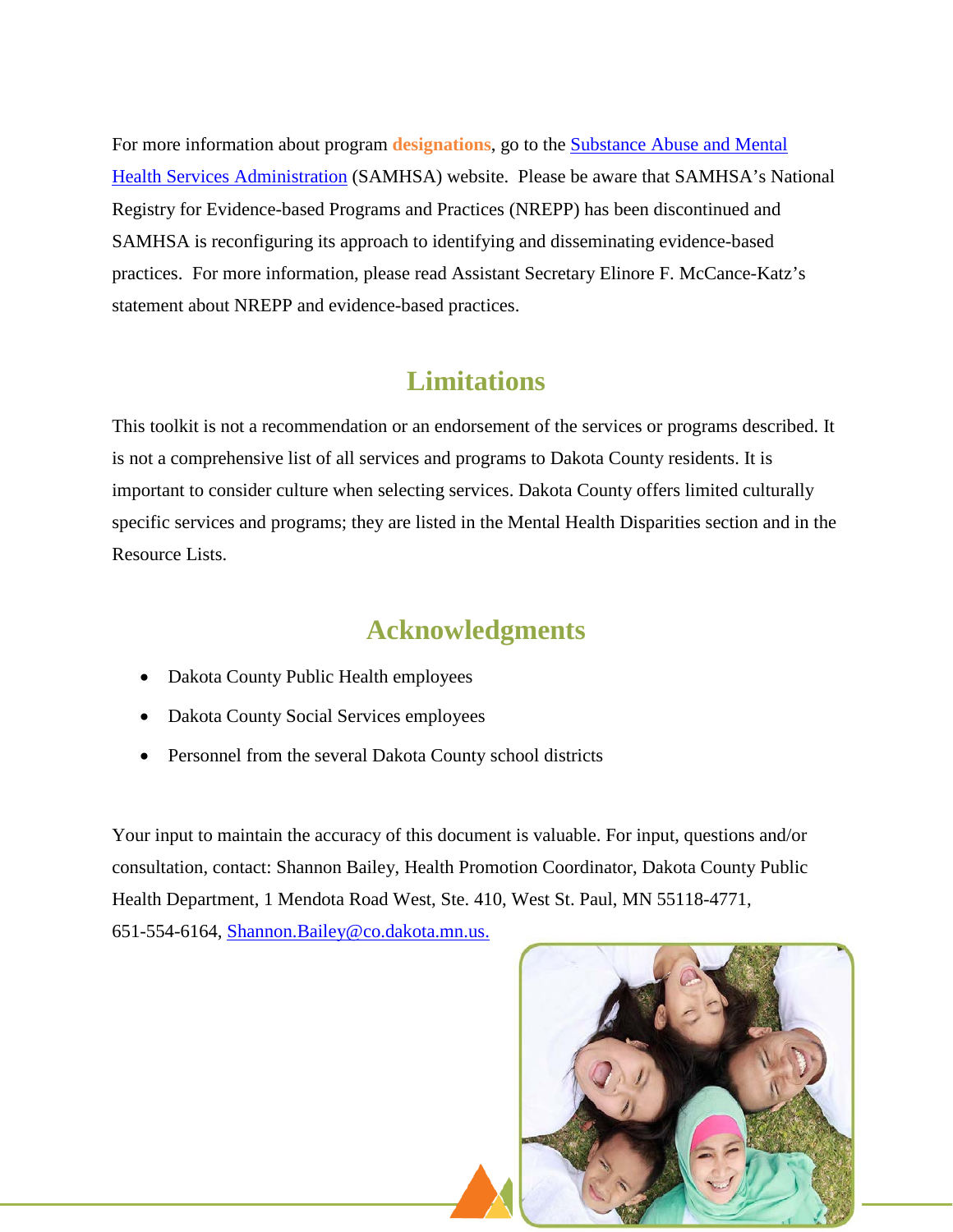For more information about program **designations**, go to the [Substance Abuse and Mental](https://knowledge.samhsa.gov/ta-centers/national-registry-evidence-based-programs-and-practices)  [Health Services Administration](https://knowledge.samhsa.gov/ta-centers/national-registry-evidence-based-programs-and-practices) (SAMHSA) website. Please be aware that SAMHSA's National Registry for Evidence-based Programs and Practices (NREPP) has been discontinued and SAMHSA is reconfiguring its approach to identifying and disseminating evidence-based practices. For more information, please read Assistant Secretary Elinore F. McCance-Katz's statement about NREPP and evidence-based practices.

### **Limitations**

This toolkit is not a recommendation or an endorsement of the services or programs described. It is not a comprehensive list of all services and programs to Dakota County residents. It is important to consider culture when selecting services. Dakota County offers limited culturally specific services and programs; they are listed in the Mental Health Disparities section and in the Resource Lists.

### **Acknowledgments**

- Dakota County Public Health employees
- Dakota County Social Services employees
- Personnel from the several Dakota County school districts

Your input to maintain the accuracy of this document is valuable. For input, questions and/or consultation, contact: Shannon Bailey, Health Promotion Coordinator, Dakota County Public Health Department, 1 Mendota Road West, Ste. 410, West St. Paul, MN 55118-4771,

651-554-6164, [Shannon.Bailey@co.dakota.mn.us.](mailto:Shannon.Bailey@co.dakota.mn.us)

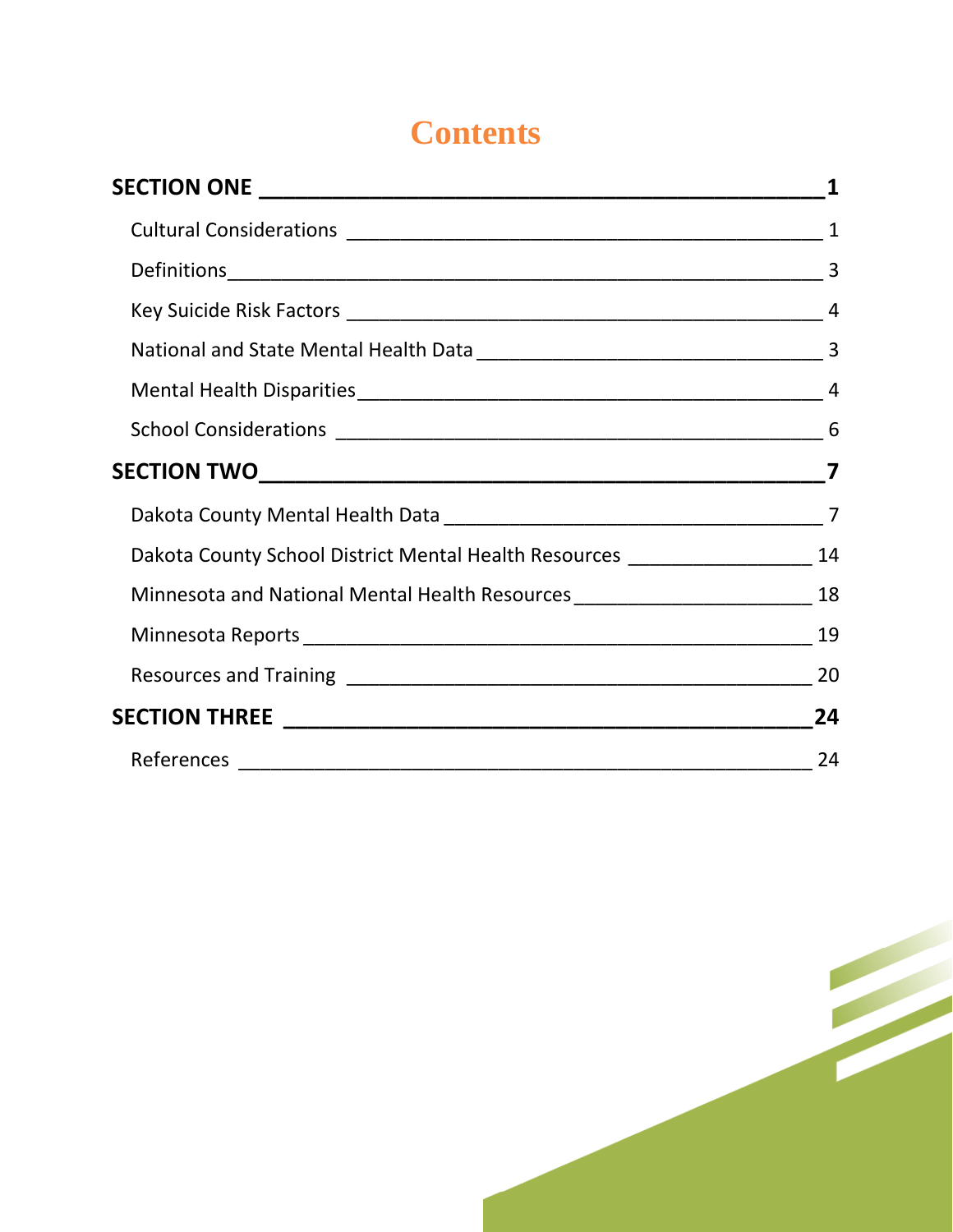# **Contents**

|                                                                                      | $\mathbf{1}$ |
|--------------------------------------------------------------------------------------|--------------|
|                                                                                      |              |
|                                                                                      |              |
|                                                                                      |              |
|                                                                                      |              |
|                                                                                      |              |
|                                                                                      |              |
|                                                                                      |              |
|                                                                                      |              |
| Dakota County School District Mental Health Resources __________________________ 14  |              |
| Minnesota and National Mental Health Resources __________________________________ 18 |              |
|                                                                                      |              |
|                                                                                      |              |
|                                                                                      |              |
|                                                                                      |              |

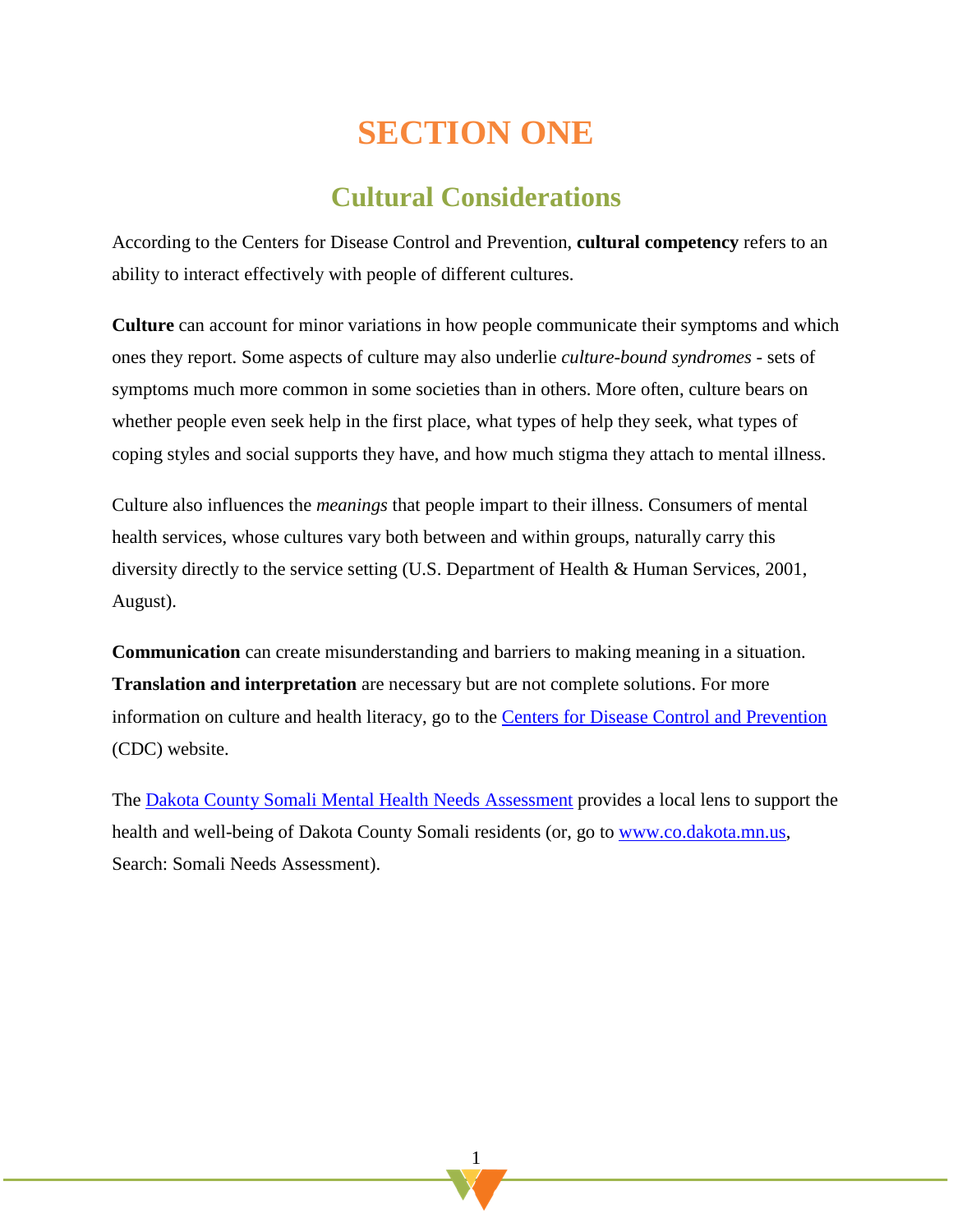# **SECTION ONE**

# **Cultural Considerations**

<span id="page-4-0"></span>According to the Centers for Disease Control and Prevention, **cultural competency** refers to an ability to interact effectively with people of different cultures.

**Culture** can account for minor variations in how people communicate their symptoms and which ones they report. Some aspects of culture may also underlie *culture-bound syndromes* - sets of symptoms much more common in some societies than in others. More often, culture bears on whether people even seek help in the first place, what types of help they seek, what types of coping styles and social supports they have, and how much stigma they attach to mental illness.

Culture also influences the *meanings* that people impart to their illness. Consumers of mental health services, whose cultures vary both between and within groups, naturally carry this diversity directly to the service setting (U.S. Department of Health & Human Services, 2001, August).

**Communication** can create misunderstanding and barriers to making meaning in a situation. **Translation and interpretation** are necessary but are not complete solutions. For more information on culture and health literacy, go to the **Centers for Disease Control and Prevention** (CDC) website.

The [Dakota County Somali Mental Health](https://www.co.dakota.mn.us/Government/publiccommittees/CHA/Documents/SomaliMentalHealthNeedsAssessmentReport.pdf) Needs Assessment provides a local lens to support the health and well-being of Dakota County Somali residents (or, go to [www.co.dakota.mn.us,](http://www.co.dakota.mn.us/) Search: Somali Needs Assessment).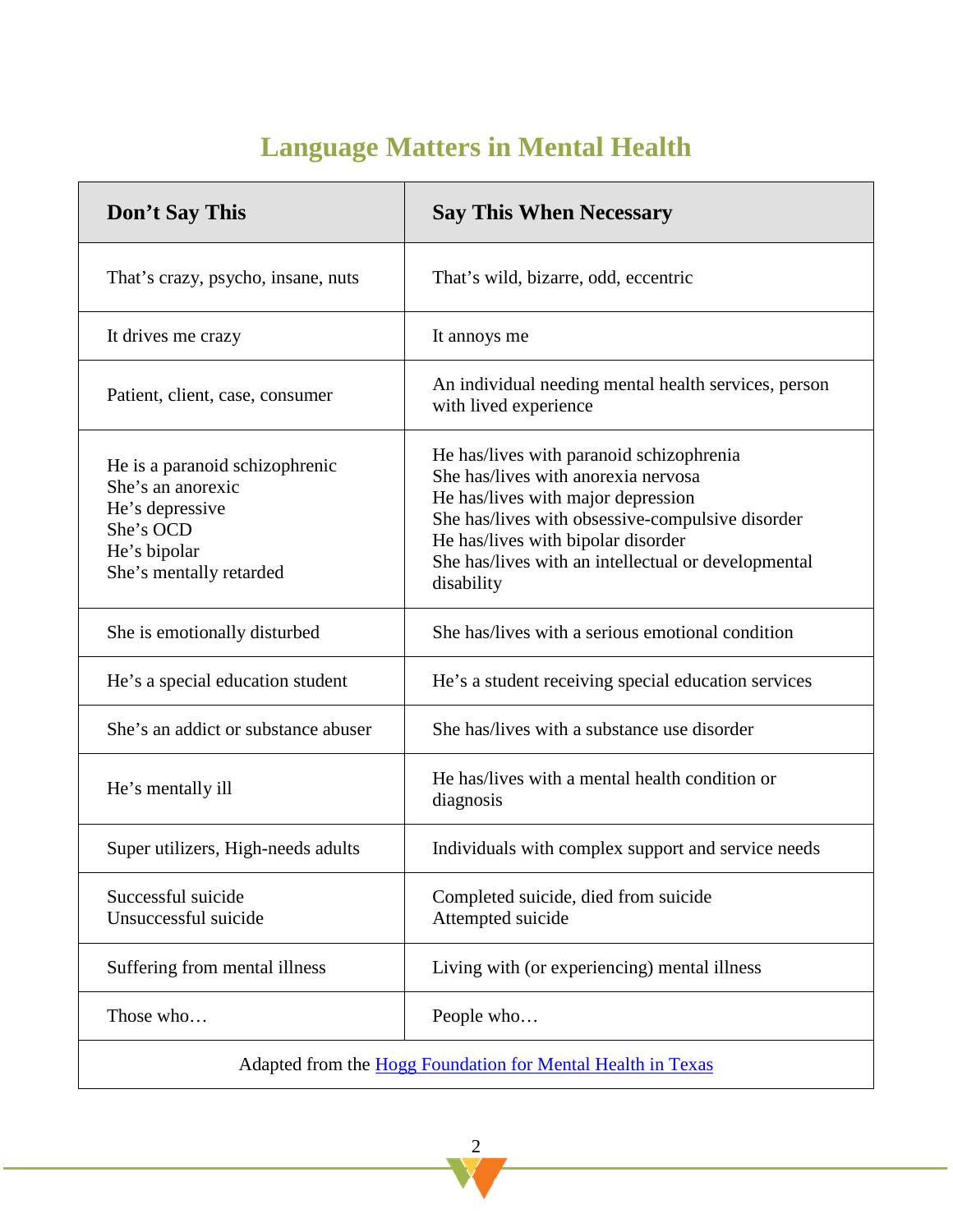# **Language Matters in Mental Health**

| Don't Say This                                                                                                                 | <b>Say This When Necessary</b>                                                                                                                                                                                                                                                       |
|--------------------------------------------------------------------------------------------------------------------------------|--------------------------------------------------------------------------------------------------------------------------------------------------------------------------------------------------------------------------------------------------------------------------------------|
| That's crazy, psycho, insane, nuts                                                                                             | That's wild, bizarre, odd, eccentric                                                                                                                                                                                                                                                 |
| It drives me crazy                                                                                                             | It annoys me                                                                                                                                                                                                                                                                         |
| Patient, client, case, consumer                                                                                                | An individual needing mental health services, person<br>with lived experience                                                                                                                                                                                                        |
| He is a paranoid schizophrenic<br>She's an anorexic<br>He's depressive<br>She's OCD<br>He's bipolar<br>She's mentally retarded | He has/lives with paranoid schizophrenia<br>She has/lives with anorexia nervosa<br>He has/lives with major depression<br>She has/lives with obsessive-compulsive disorder<br>He has/lives with bipolar disorder<br>She has/lives with an intellectual or developmental<br>disability |
| She is emotionally disturbed                                                                                                   | She has/lives with a serious emotional condition                                                                                                                                                                                                                                     |
| He's a special education student                                                                                               | He's a student receiving special education services                                                                                                                                                                                                                                  |
| She's an addict or substance abuser                                                                                            | She has/lives with a substance use disorder                                                                                                                                                                                                                                          |
| He's mentally ill                                                                                                              | He has/lives with a mental health condition or<br>diagnosis                                                                                                                                                                                                                          |
| Super utilizers, High-needs adults                                                                                             | Individuals with complex support and service needs                                                                                                                                                                                                                                   |
| Successful suicide<br>Unsuccessful suicide                                                                                     | Completed suicide, died from suicide<br>Attempted suicide                                                                                                                                                                                                                            |
| Suffering from mental illness                                                                                                  | Living with (or experiencing) mental illness                                                                                                                                                                                                                                         |
| Those who                                                                                                                      | People who                                                                                                                                                                                                                                                                           |
|                                                                                                                                | Adapted from the Hogg Foundation for Mental Health in Texas                                                                                                                                                                                                                          |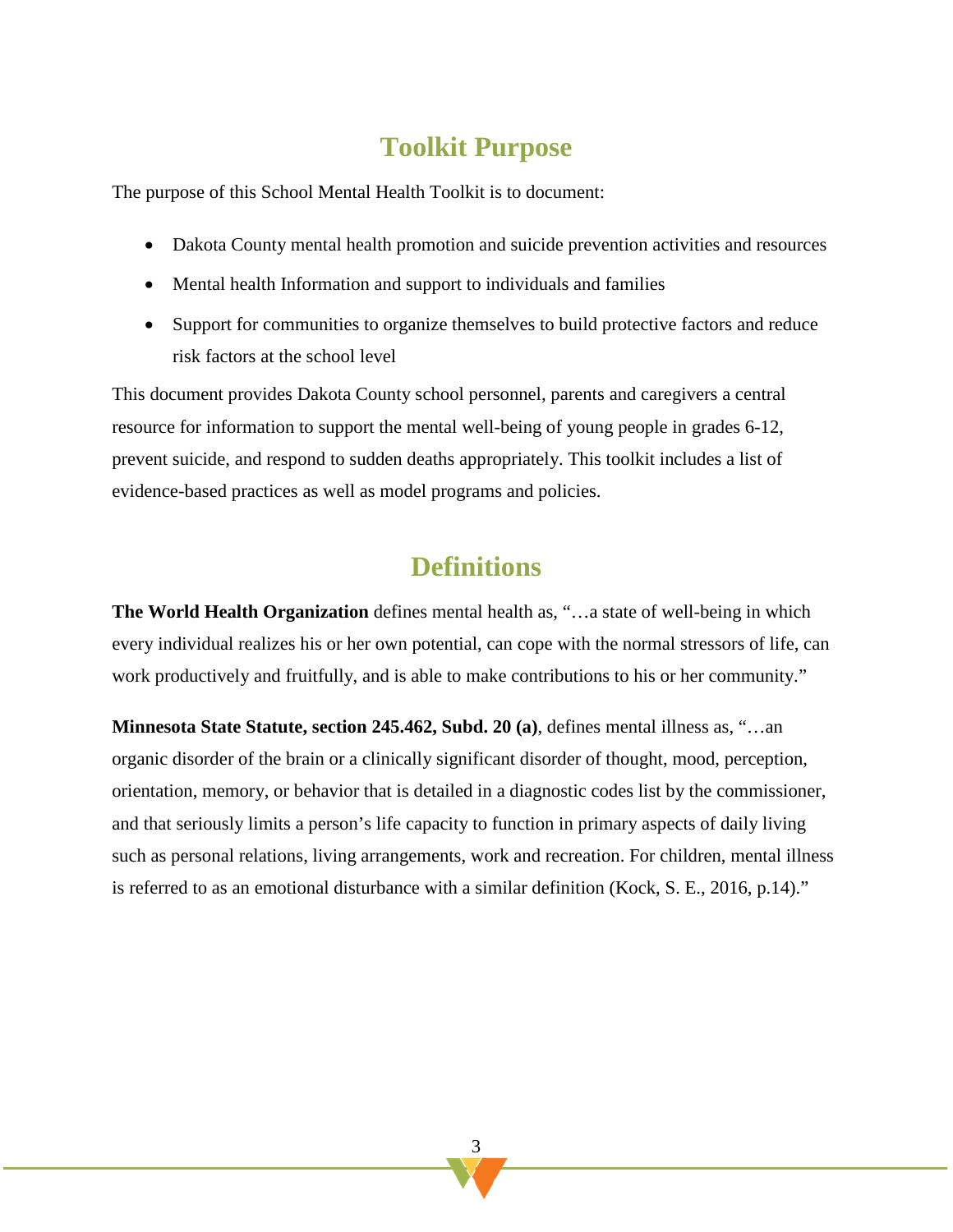### **Toolkit Purpose**

The purpose of this School Mental Health Toolkit is to document:

- Dakota County mental health promotion and suicide prevention activities and resources
- Mental health Information and support to individuals and families
- Support for communities to organize themselves to build protective factors and reduce risk factors at the school level

This document provides Dakota County school personnel, parents and caregivers a central resource for information to support the mental well-being of young people in grades 6-12, prevent suicide, and respond to sudden deaths appropriately. This toolkit includes a list of evidence-based practices as well as model programs and policies.

### **Definitions**

<span id="page-6-0"></span>**The World Health Organization** defines mental health as, "…a state of well-being in which every individual realizes his or her own potential, can cope with the normal stressors of life, can work productively and fruitfully, and is able to make contributions to his or her community."

**Minnesota State Statute, section 245.462, Subd. 20 (a)**, defines mental illness as, "…an organic disorder of the brain or a clinically significant disorder of thought, mood, perception, orientation, memory, or behavior that is detailed in a diagnostic codes list by the commissioner, and that seriously limits a person's life capacity to function in primary aspects of daily living such as personal relations, living arrangements, work and recreation. For children, mental illness is referred to as an emotional disturbance with a similar definition (Kock, S. E., 2016, p.14)."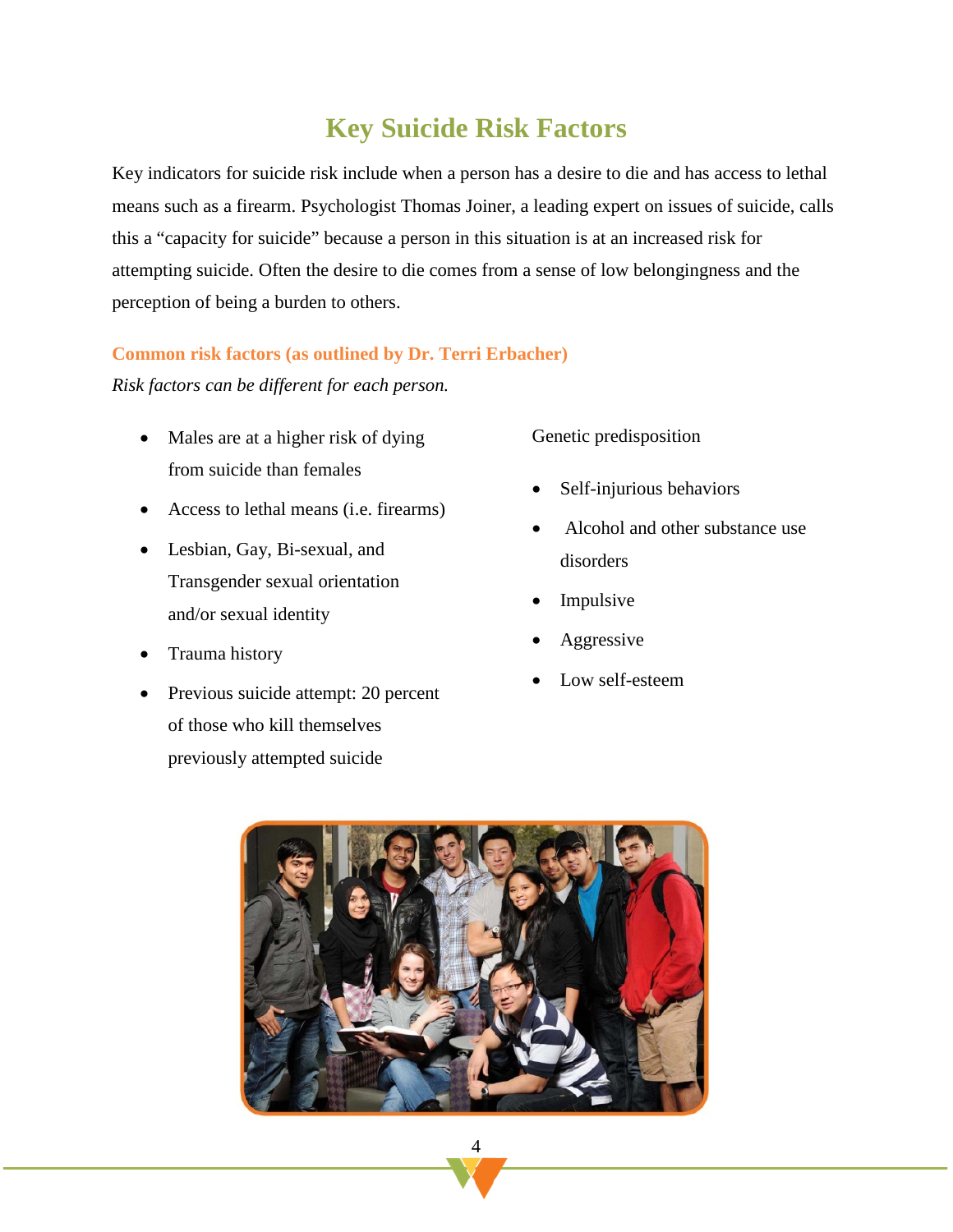# **Key Suicide Risk Factors**

<span id="page-7-0"></span>Key indicators for suicide risk include when a person has a desire to die and has access to lethal means such as a firearm. Psychologist Thomas Joiner, a leading expert on issues of suicide, calls this a "capacity for suicide" because a person in this situation is at an increased risk for attempting suicide. Often the desire to die comes from a sense of low belongingness and the perception of being a burden to others.

#### **Common risk factors (as outlined by Dr. Terri Erbacher)**

*Risk factors can be different for each person.*

- Males are at a higher risk of dying from suicide than females
- Access to lethal means (i.e. firearms)
- Lesbian, Gay, Bi-sexual, and Transgender sexual orientation and/or sexual identity
- Trauma history
- Previous suicide attempt: 20 percent of those who kill themselves previously attempted suicide

Genetic predisposition

- Self-injurious behaviors
- Alcohol and other substance use disorders
- **Impulsive**
- **Aggressive**
- Low self-esteem

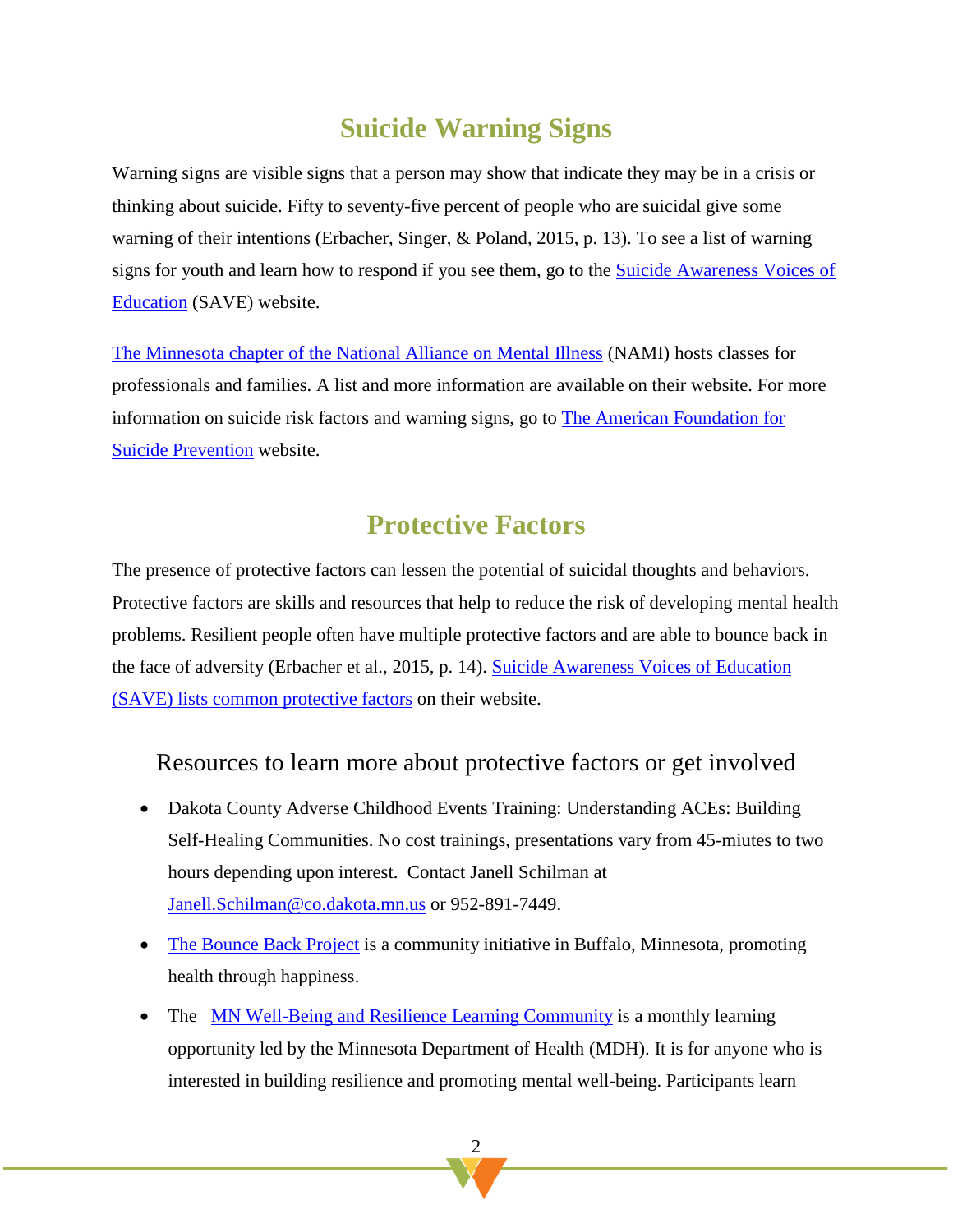# **Suicide Warning Signs**

Warning signs are visible signs that a person may show that indicate they may be in a crisis or thinking about suicide. Fifty to seventy-five percent of people who are suicidal give some warning of their intentions (Erbacher, Singer, & Poland, 2015, p. 13). To see a list of warning signs for youth and learn how to respond if you see them, go to the [Suicide Awareness Voices of](https://save.org/youthsuicide/)  [Education](https://save.org/youthsuicide/) (SAVE) website.

[The Minnesota chapter of the National Alliance on Mental Illness](https://namimn.org/) (NAMI) hosts classes for professionals and families. A list and more information are available on their website. For more information on suicide risk factors and warning signs, go to [The American Foundation for](https://afsp.org/about-suicide/risk-factors-and-warning-signs/)  [Suicide Prevention](https://afsp.org/about-suicide/risk-factors-and-warning-signs/) website.

### **Protective Factors**

The presence of protective factors can lessen the potential of suicidal thoughts and behaviors. Protective factors are skills and resources that help to reduce the risk of developing mental health problems. Resilient people often have multiple protective factors and are able to bounce back in the face of adversity (Erbacher et al., 2015, p. 14). [Suicide Awareness Voices of Education](https://save.org/about-suicide/warning-signs-risk-factors-protective-factors/)  [\(SAVE\) lists common protective factors](https://save.org/about-suicide/warning-signs-risk-factors-protective-factors/) on their website.

### Resources to learn more about protective factors or get involved

- Dakota County Adverse Childhood Events Training: Understanding ACEs: Building Self-Healing Communities. No cost trainings, presentations vary from 45-miutes to two hours depending upon interest. Contact Janell Schilman at [Janell.Schilman@co.dakota.mn.us](mailto:Janell.Schilman@co.dakota.mn.us) or 952-891-7449.
- [The Bounce Back Project](http://www.bouncebackproject.org/) is a community initiative in Buffalo, Minnesota, promoting health through happiness.
- The [MN Well-Being and Resilience Learning Community](https://www.health.state.mn.us/communities/mentalhealth/community.html) is a monthly learning opportunity led by the Minnesota Department of Health (MDH). It is for anyone who is interested in building resilience and promoting mental well-being. Participants learn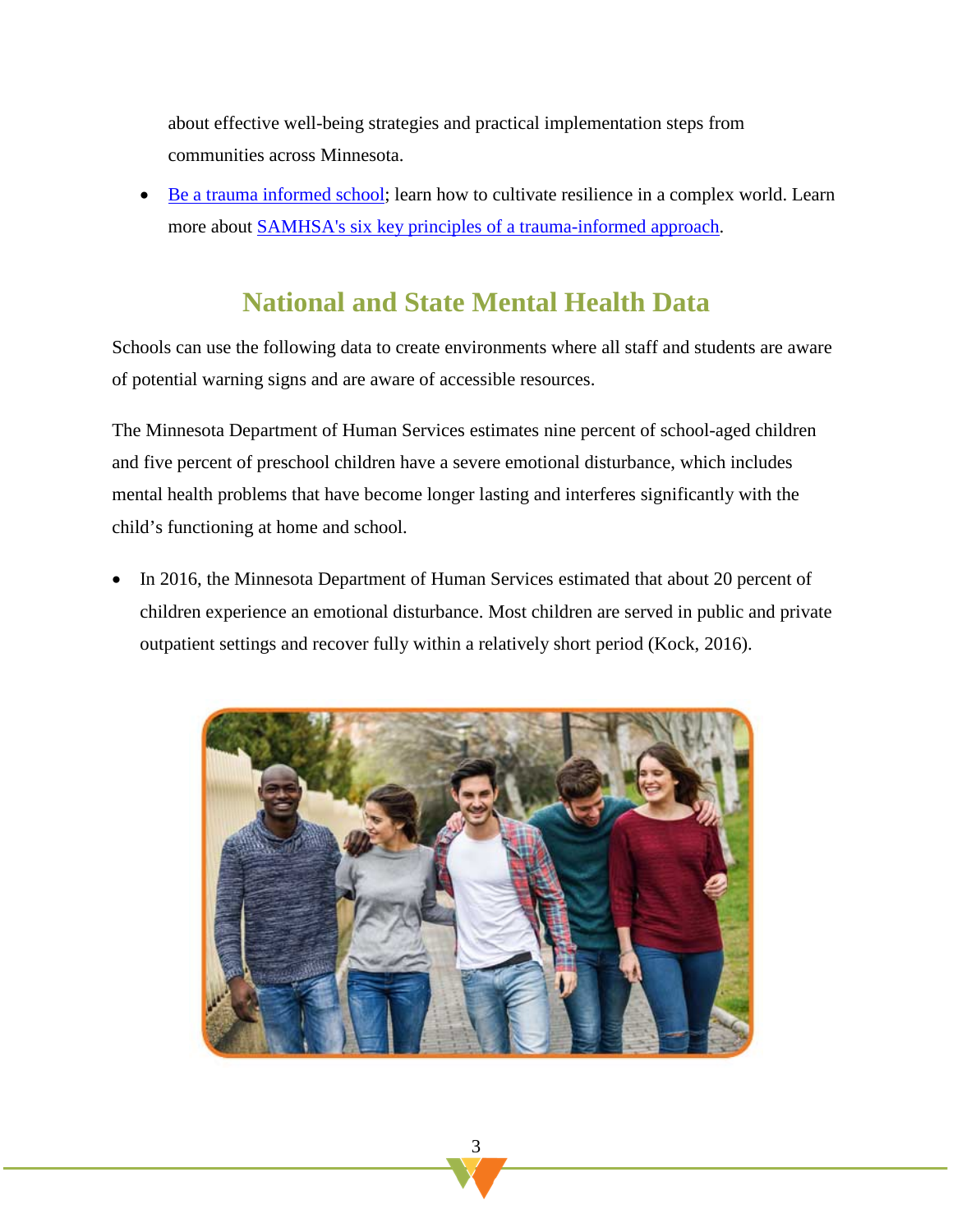about effective well-being strategies and practical implementation steps from communities across Minnesota.

<span id="page-9-0"></span>• [Be a trauma informed school;](https://nationalresilienceinstitute.org/2017/05/6-ways-become-trauma-informed-school/) learn how to cultivate resilience in a complex world. Learn more about [SAMHSA's six key principles of a trauma-informed approach.](https://www.samhsa.gov/nctic/trauma-interventions)

# **National and State Mental Health Data**

Schools can use the following data to create environments where all staff and students are aware of potential warning signs and are aware of accessible resources.

The Minnesota Department of Human Services estimates nine percent of school-aged children and five percent of preschool children have a severe emotional disturbance, which includes mental health problems that have become longer lasting and interferes significantly with the child's functioning at home and school.

• In 2016, the Minnesota Department of Human Services estimated that about 20 percent of children experience an emotional disturbance. Most children are served in public and private outpatient settings and recover fully within a relatively short period (Kock, 2016).

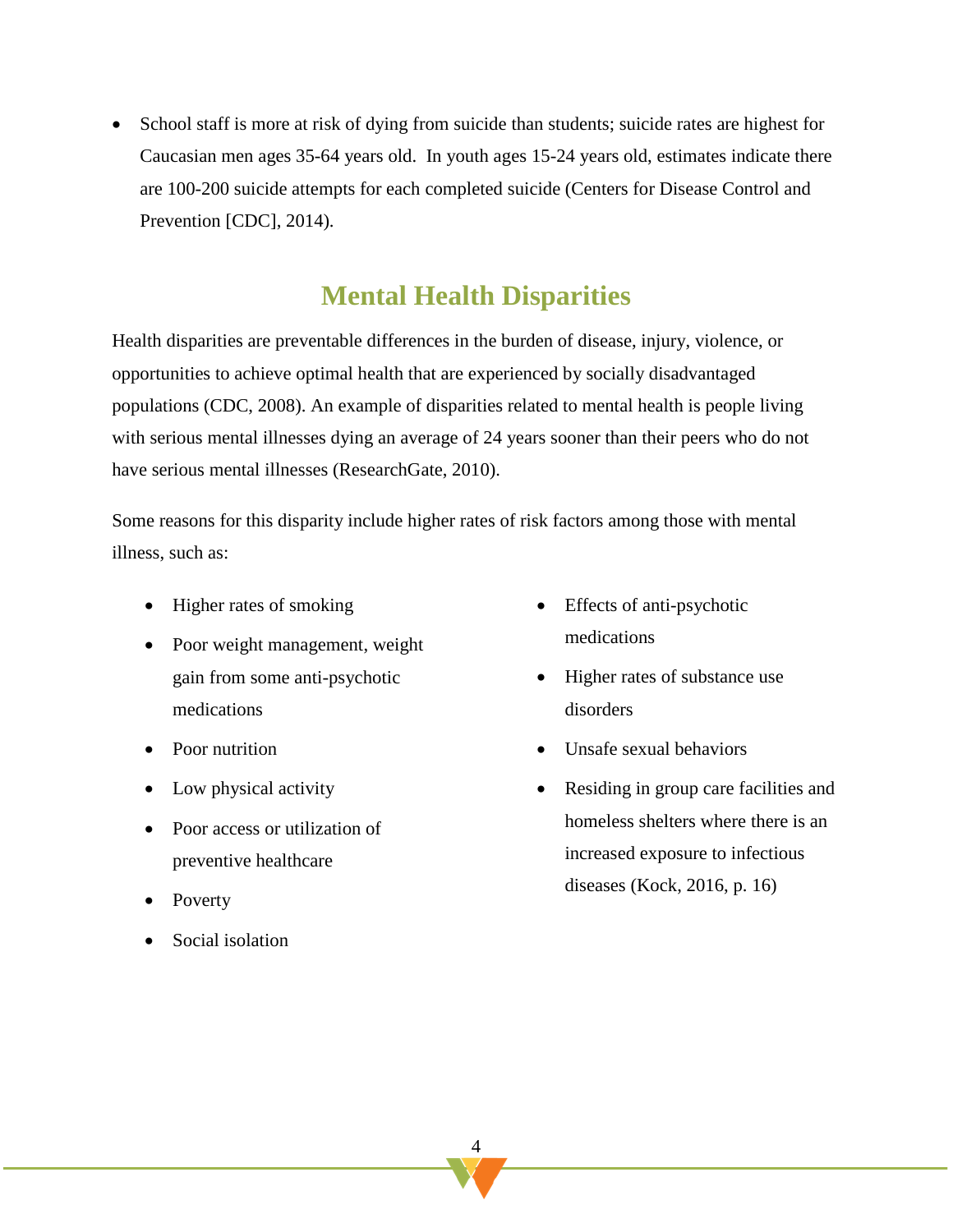• School staff is more at risk of dying from suicide than students; suicide rates are highest for Caucasian men ages 35-64 years old. In youth ages 15-24 years old, estimates indicate there are 100-200 suicide attempts for each completed suicide (Centers for Disease Control and Prevention [CDC], 2014).

### <span id="page-10-0"></span>**Mental Health Disparities**

Health disparities are preventable differences in the burden of disease, injury, violence, or opportunities to achieve optimal health that are experienced by socially disadvantaged populations (CDC, 2008). An example of disparities related to mental health is people living with serious mental illnesses dying an average of 24 years sooner than their peers who do not have serious mental illnesses (ResearchGate, 2010).

Some reasons for this disparity include higher rates of risk factors among those with mental illness, such as:

- Higher rates of smoking
- Poor weight management, weight gain from some anti-psychotic medications
- Poor nutrition
- Low physical activity
- Poor access or utilization of preventive healthcare
- Poverty
- Social isolation
- Effects of anti-psychotic medications
- Higher rates of substance use disorders
- Unsafe sexual behaviors
- Residing in group care facilities and homeless shelters where there is an increased exposure to infectious diseases (Kock, 2016, p. 16)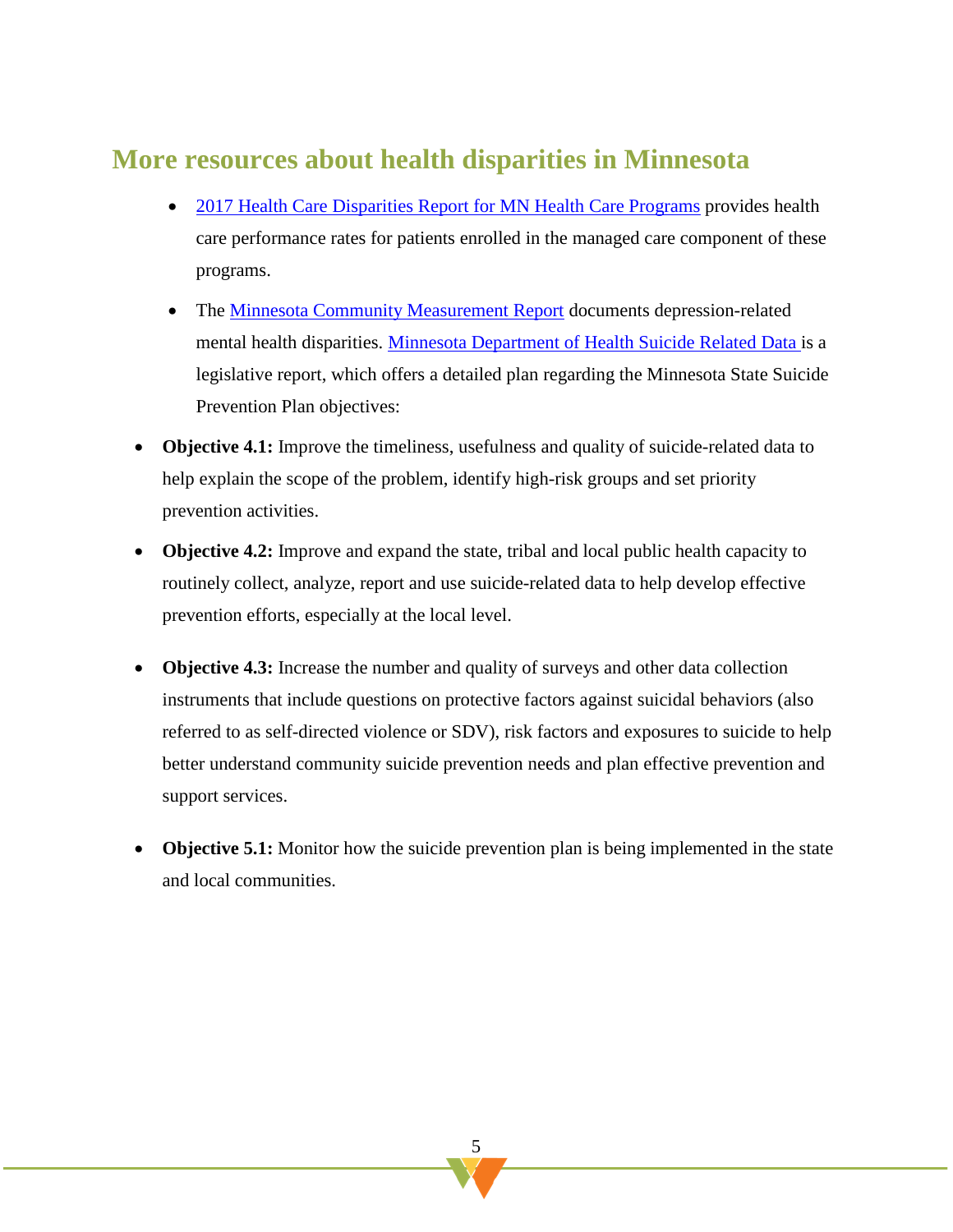### **More resources about health disparities in Minnesota**

- [2017 Health Care Disparities Report for MN Health Care Programs](https://mncm.org/wp-content/uploads/2018/03/2017-Disparities-Report-FINAL-3.26.2018.pdf) provides health [care performance rates for patients enrolled in the managed care component of these](http://mncm.org/health-care-disparities-report/)  [programs.](http://mncm.org/health-care-disparities-report/)
- The [Minnesota Community Measurement Report](https://mncm.org/reports-and-websites/reports-and-data/) documents depression-related mental health disparities. [Minnesota Department of Health Suicide Related Data](http://www.health.state.mn.us/divs/healthimprovement/content/documents/SuicideLegislativeDataReport.pdf) is a legislative report, which offers a detailed plan regarding the Minnesota State Suicide Prevention Plan objectives:
- **Objective 4.1:** Improve the timeliness, usefulness and quality of suicide-related data to help explain the scope of the problem, identify high-risk groups and set priority prevention activities.
- **Objective 4.2:** Improve and expand the state, tribal and local public health capacity to routinely collect, analyze, report and use suicide-related data to help develop effective prevention efforts, especially at the local level.
- **Objective 4.3:** Increase the number and quality of surveys and other data collection instruments that include questions on protective factors against suicidal behaviors (also referred to as self-directed violence or SDV), risk factors and exposures to suicide to help better understand community suicide prevention needs and plan effective prevention and support services.
- **Objective 5.1:** Monitor how the suicide prevention plan is being implemented in the state and local communities.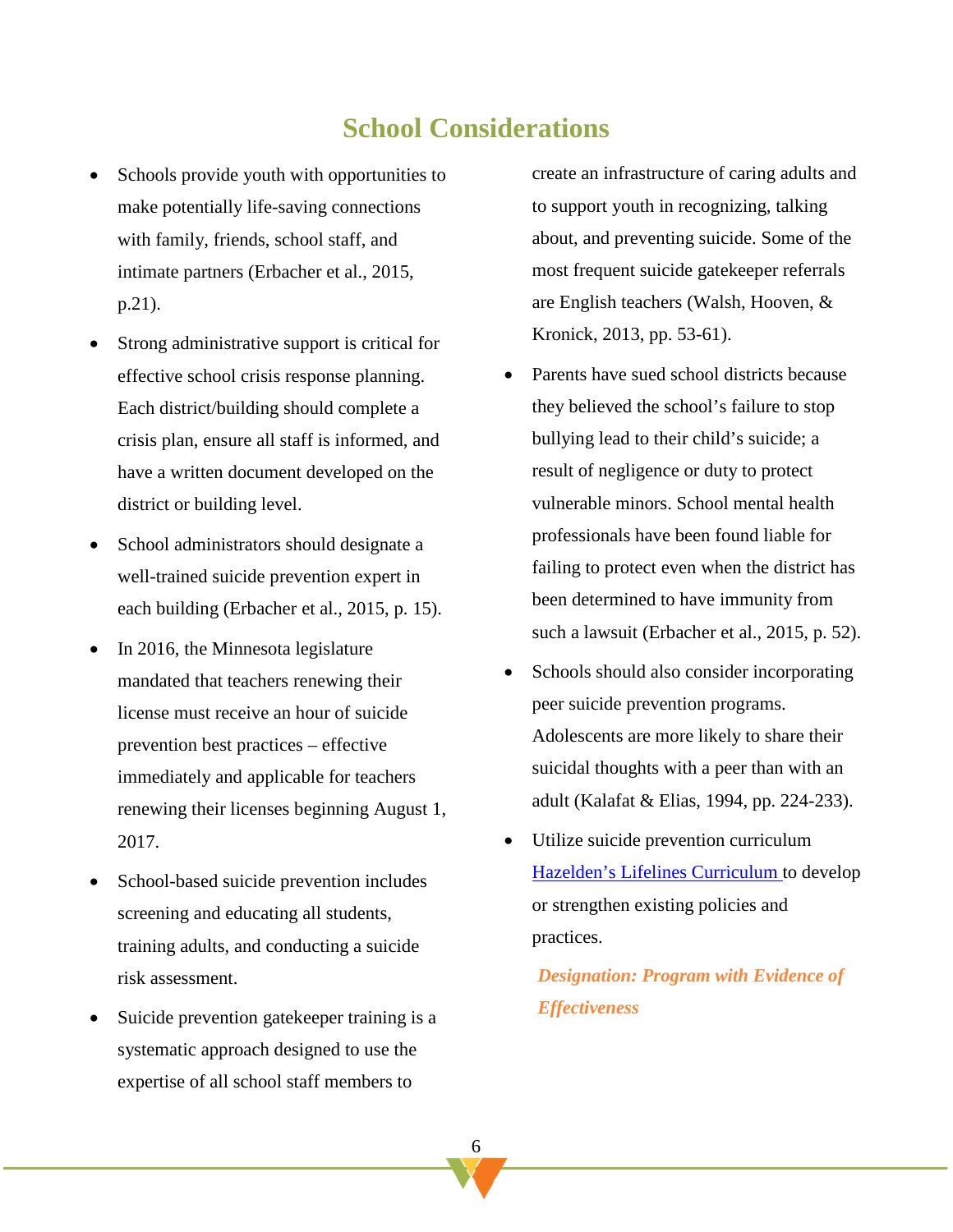### **School Considerations**

- <span id="page-12-0"></span>Schools provide youth with opportunities to make potentially life-saving connections with family, friends, school staff, and intimate partners (Erbacher et al., 2015, p.21).
- Strong administrative support is critical for effective school crisis response planning. Each district/building should complete a crisis plan, ensure all staff is informed, and have a written document developed on the district or building level.
- School administrators should designate a well-trained suicide prevention expert in each building (Erbacher et al., 2015, p. 15).
- In 2016, the Minnesota legislature mandated that teachers renewing their license must receive an hour of suicide prevention best practices – effective immediately and applicable for teachers renewing their licenses beginning August 1, 2017.
- School-based suicide prevention includes screening and educating all students, training adults, and conducting a suicide risk assessment.
- Suicide prevention gatekeeper training is a systematic approach designed to use the expertise of all school staff members to

create an infrastructure of caring adults and to support youth in recognizing, talking about, and preventing suicide. Some of the most frequent suicide gatekeeper referrals are English teachers (Walsh, Hooven, & Kronick, 2013, pp. 53-61).

- Parents have sued school districts because they believed the school's failure to stop bullying lead to their child's suicide; a result of negligence or duty to protect vulnerable minors. School mental health professionals have been found liable for failing to protect even when the district has been determined to have immunity from such a lawsuit (Erbacher et al., 2015, p. 52).
- Schools should also consider incorporating peer suicide prevention programs. Adolescents are more likely to share their suicidal thoughts with a peer than with an adult (Kalafat & Elias, 1994, pp. 224-233).
- Utilize suicide prevention curriculum [Hazelden's Lifelines Curriculum t](http://www.hazelden.org/OA_HTML/item/503138?Hazelden-Lifelines-Prevention&src_url=itemquest)o develop or strengthen existing policies and practices.

*Designation: Program with Evidence of Effectiveness*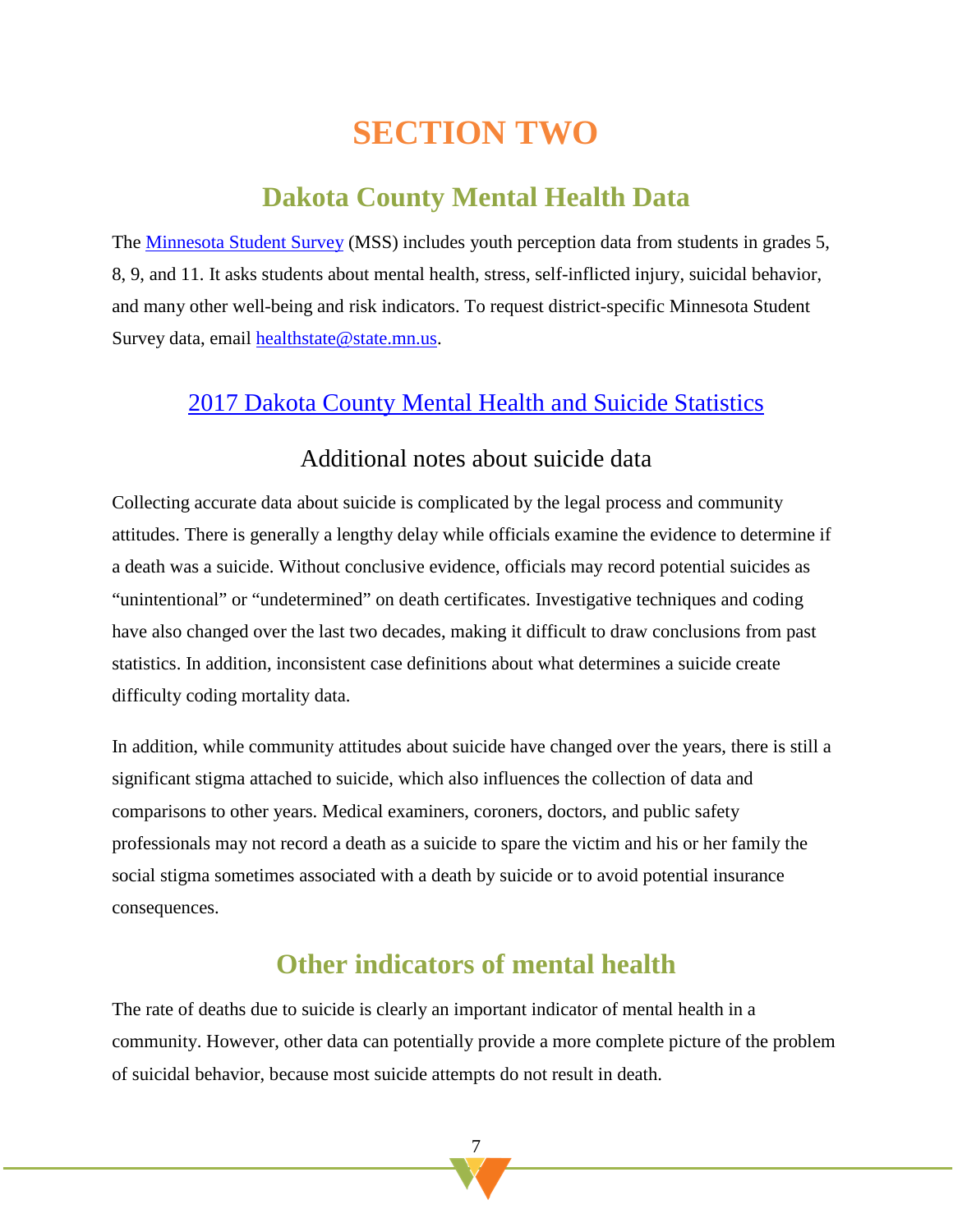# **SECTION TWO**

# **Dakota County Mental Health Data**

<span id="page-13-1"></span><span id="page-13-0"></span>The [Minnesota Student Survey](http://www.health.state.mn.us/divs/chs/surveys/mss/index.html) (MSS) includes youth perception data from students in grades 5, 8, 9, and 11. It asks students about mental health, stress, self-inflicted injury, suicidal behavior, and many other well-being and risk indicators. To request district-specific Minnesota Student Survey data, email [healthstate@state.mn.us.](mailto:healthstate@state.mn.us)

### [2017 Dakota County Mental Health and Suicide Statistics](https://www.co.dakota.mn.us/Government/publiccommittees/CHA/Documents/MentalHealth.pdf)

### Additional notes about suicide data

Collecting accurate data about suicide is complicated by the legal process and community attitudes. There is generally a lengthy delay while officials examine the evidence to determine if a death was a suicide. Without conclusive evidence, officials may record potential suicides as "unintentional" or "undetermined" on death certificates. Investigative techniques and coding have also changed over the last two decades, making it difficult to draw conclusions from past statistics. In addition, inconsistent case definitions about what determines a suicide create difficulty coding mortality data.

In addition, while community attitudes about suicide have changed over the years, there is still a significant stigma attached to suicide, which also influences the collection of data and comparisons to other years. Medical examiners, coroners, doctors, and public safety professionals may not record a death as a suicide to spare the victim and his or her family the social stigma sometimes associated with a death by suicide or to avoid potential insurance consequences.

### **Other indicators of mental health**

The rate of deaths due to suicide is clearly an important indicator of mental health in a community. However, other data can potentially provide a more complete picture of the problem of suicidal behavior, because most suicide attempts do not result in death.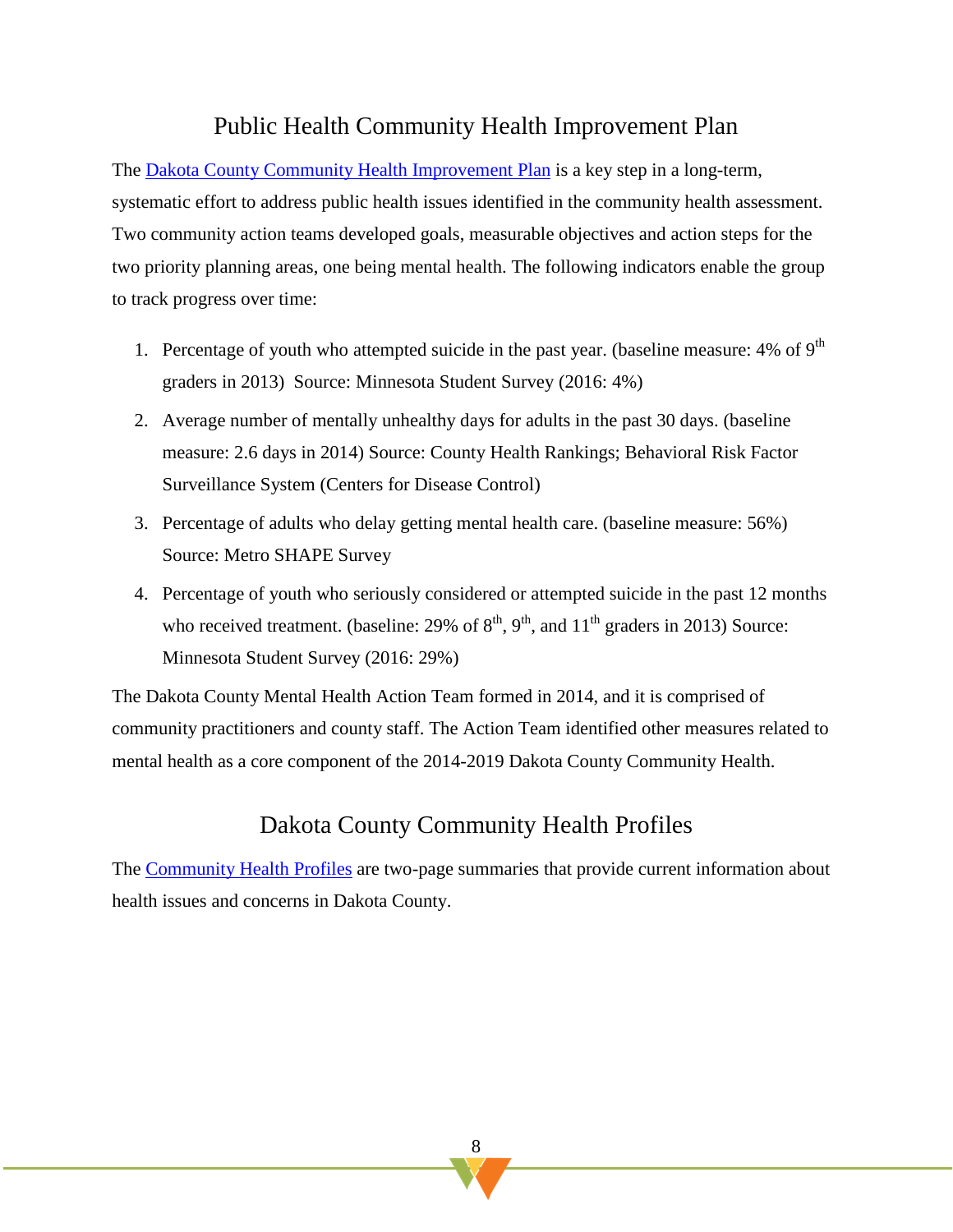### Public Health Community Health Improvement Plan

The [Dakota County Community Health Improvement Plan](https://www.co.dakota.mn.us/Government/publiccommittees/CHA/Pages/community-health-improvement-plan.aspx) is a key step in a long-term, systematic effort to address public health issues identified in the community health assessment. Two community action teams developed goals, measurable objectives and action steps for the two priority planning areas, one being mental health. The following indicators enable the group to track progress over time:

- 1. Percentage of youth who attempted suicide in the past year. (baseline measure:  $4\%$  of  $9<sup>th</sup>$ graders in 2013) Source: Minnesota Student Survey (2016: 4%)
- 2. Average number of mentally unhealthy days for adults in the past 30 days. (baseline measure: 2.6 days in 2014) Source: County Health Rankings; Behavioral Risk Factor Surveillance System (Centers for Disease Control)
- 3. Percentage of adults who delay getting mental health care. (baseline measure: 56%) Source: Metro SHAPE Survey
- 4. Percentage of youth who seriously considered or attempted suicide in the past 12 months who received treatment. (baseline: 29% of  $8<sup>th</sup>$ ,  $9<sup>th</sup>$ , and  $11<sup>th</sup>$  graders in 2013) Source: Minnesota Student Survey (2016: 29%)

The Dakota County Mental Health Action Team formed in 2014, and it is comprised of community practitioners and county staff. The Action Team identified other measures related to mental health as a core component of the 2014-2019 Dakota County Community Health.

### Dakota County Community Health Profiles

The [Community Health Profiles](https://www.co.dakota.mn.us/Government/publiccommittees/CHA/Pages/profiles.aspx) are two-page summaries that provide current information about health issues and concerns in Dakota County.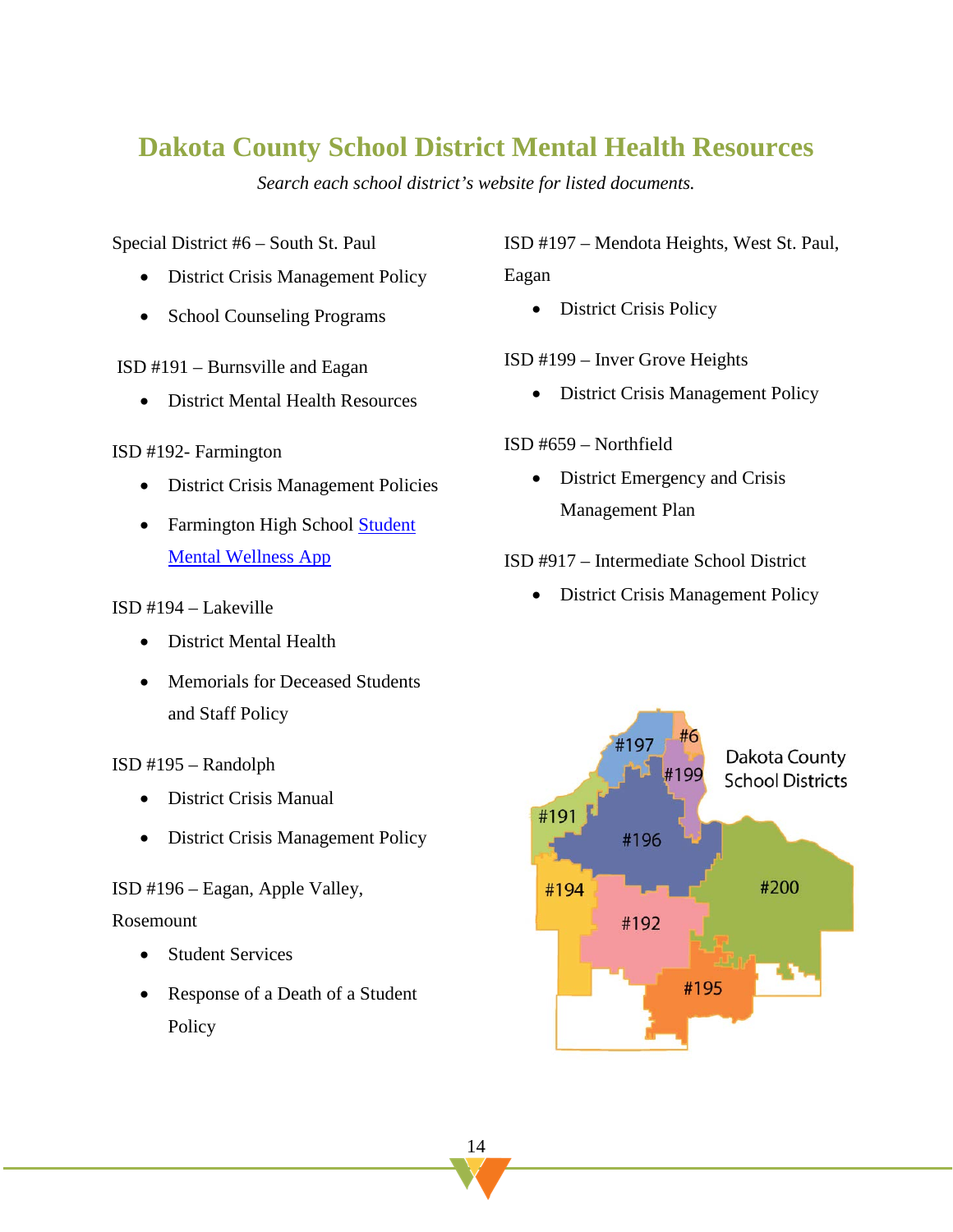# <span id="page-15-0"></span>**Dakota County School District Mental Health Resources**

*Search each school district's website for listed documents.*

Special District #6 – South St. Paul

- District Crisis Management Policy
- School Counseling Programs

ISD #191 – Burnsville and Eagan

• District Mental Health Resources

#### ISD #192- Farmington

- District Crisis Management Policies
- Farmington High School [Student](https://sites.google.com/isd192.org/mental-health-help-kit/home)  [Mental Wellness App](https://sites.google.com/isd192.org/mental-health-help-kit/home)

#### ISD #194 – Lakeville

- District Mental Health
- Memorials for Deceased Students and Staff Policy

#### ISD #195 – Randolph

- District Crisis Manual
- District Crisis Management Policy

ISD #196 – Eagan, Apple Valley,

#### Rosemount

- Student Services
- Response of a Death of a Student Policy

ISD #197 – Mendota Heights, West St. Paul, Eagan

• District Crisis Policy

#### ISD #199 – Inver Grove Heights

• District Crisis Management Policy

#### ISD #659 – Northfield

• District Emergency and Crisis Management Plan

#### ISD #917 – Intermediate School District

• District Crisis Management Policy

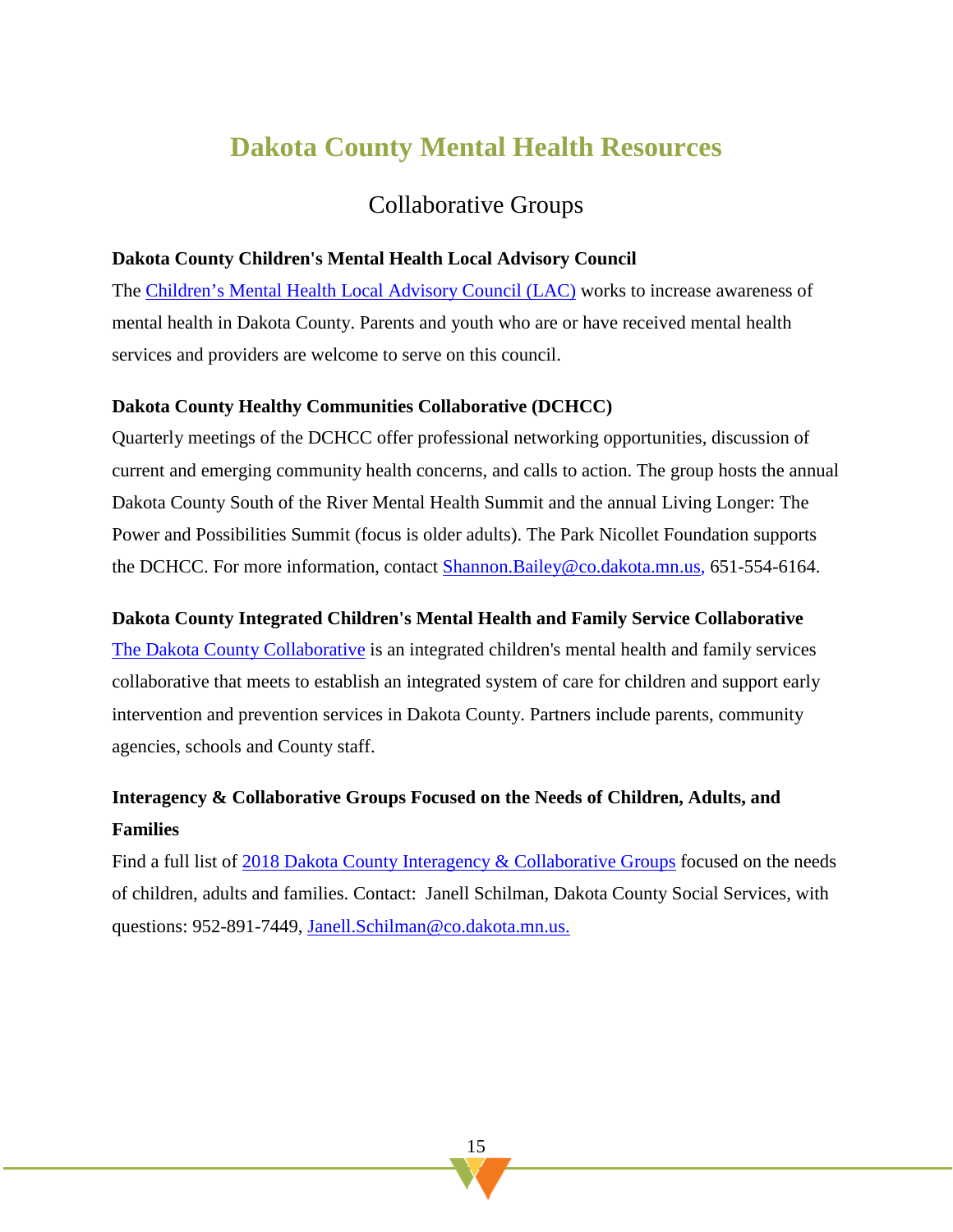# **Dakota County Mental Health Resources**

### Collaborative Groups

#### **Dakota County Children's Mental Health Local Advisory Council**

The [Children's Mental Health Local Advisory Council \(LAC\)](https://www.co.dakota.mn.us/HealthFamily/MentalHealth/Childrens/Pages/local-advisory-council.aspx) works to increase awareness of mental health in Dakota County. Parents and youth who are or have received mental health services and providers are welcome to serve on this council.

#### **Dakota County Healthy Communities Collaborative (DCHCC)**

Quarterly meetings of the DCHCC offer professional networking opportunities, discussion of current and emerging community health concerns, and calls to action. The group hosts the annual Dakota County South of the River Mental Health Summit and the annual Living Longer: The Power and Possibilities Summit (focus is older adults). The Park Nicollet Foundation supports the DCHCC. For more information, contact [Shannon.Bailey@co.dakota.mn.us,](mailto:Shannon.Bailey@co.dakota.mn.us) 651-554-6164.

#### **Dakota County Integrated Children's Mental Health and Family Service Collaborative**

[The Dakota County Collaborative](https://www.co.dakota.mn.us/HealthFamily/Parenting/EarlyChildhoodDevelopment/Pages/collaborative.aspx) is an integrated children's mental health and family services collaborative that meets to establish an integrated system of care for children and support early intervention and prevention services in Dakota County. Partners include parents, community agencies, schools and County staff.

### **Interagency & Collaborative Groups Focused on the Needs of Children, Adults, and Families**

Find a full list of [2018 Dakota County Interagency & Collaborative Groups](https://www.co.dakota.mn.us/HealthFamily/Parenting/EarlyChildhoodDevelopment/Documents/InteragencyCollaborativeDirectory.pdf) focused on the needs of children, adults and families. Contact: Janell Schilman, Dakota County Social Services, with questions: 952-891-7449, [Janell.Schilman@co.dakota.mn.us.](mailto:Janell.Schilman@co.dakota.mn.us)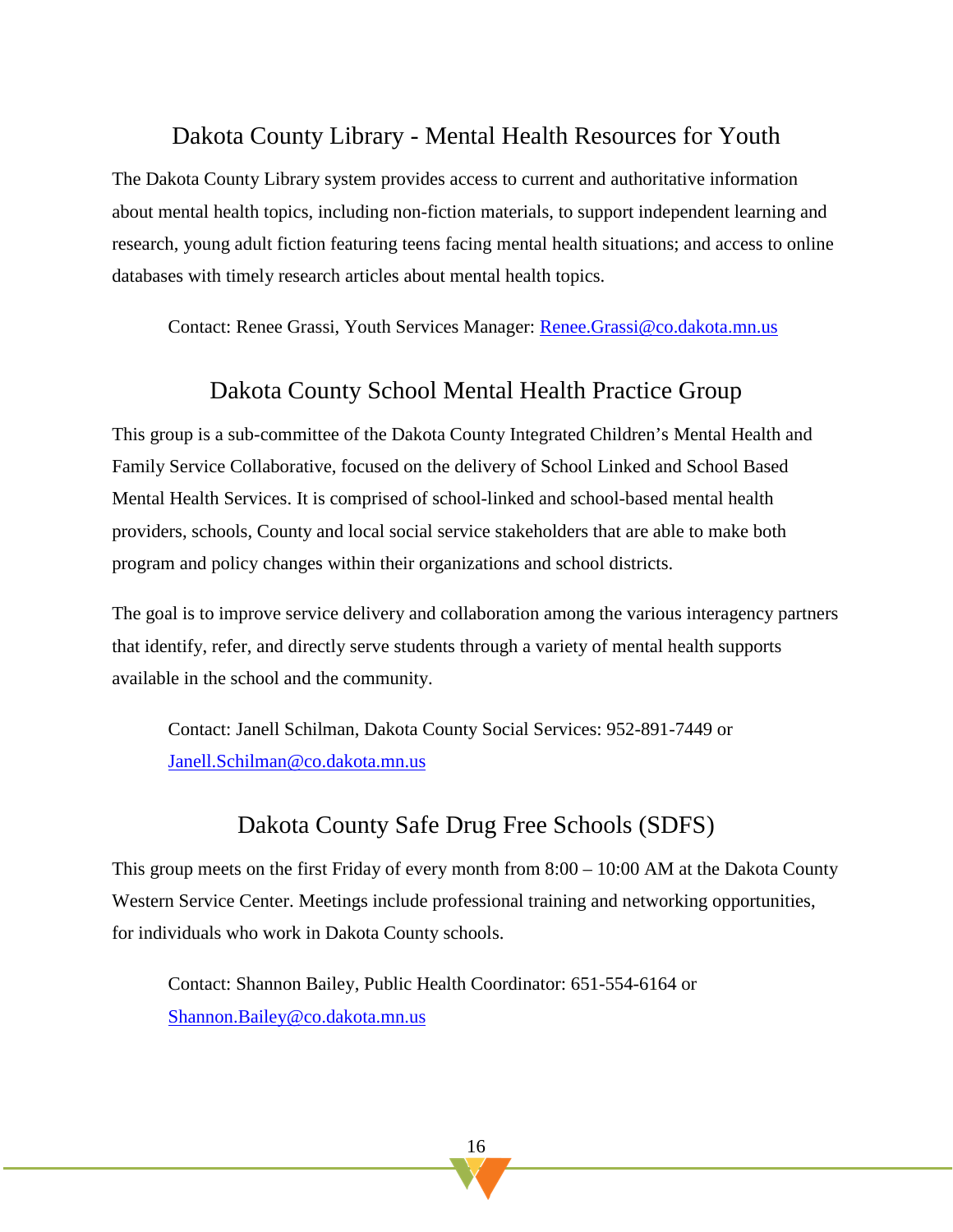### Dakota County Library - Mental Health Resources for Youth

The Dakota County Library system provides access to current and authoritative information about mental health topics, including non-fiction materials, to support independent learning and research, young adult fiction featuring teens facing mental health situations; and access to online databases with timely research articles about mental health topics.

Contact: Renee Grassi, Youth Services Manager: [Renee.Grassi@co.dakota.mn.us](mailto:Renee.Grassi@co.dakota.mn.us)

### Dakota County School Mental Health Practice Group

This group is a sub-committee of the Dakota County Integrated Children's Mental Health and Family Service Collaborative, focused on the delivery of School Linked and School Based Mental Health Services. It is comprised of school-linked and school-based mental health providers, schools, County and local social service stakeholders that are able to make both program and policy changes within their organizations and school districts.

The goal is to improve service delivery and collaboration among the various interagency partners that identify, refer, and directly serve students through a variety of mental health supports available in the school and the community.

Contact: Janell Schilman, Dakota County Social Services: 952-891-7449 or [Janell.Schilman@co.dakota.mn.us](mailto:Janell.Schilman@co.dakota.mn.us)

### Dakota County Safe Drug Free Schools (SDFS)

This group meets on the first Friday of every month from 8:00 – 10:00 AM at the Dakota County Western Service Center. Meetings include professional training and networking opportunities, for individuals who work in Dakota County schools.

Contact: Shannon Bailey, Public Health Coordinator: 651-554-6164 or [Shannon.Bailey@co.dakota.mn.us](mailto:Shannon.Bailey@co.dakota.mn.us)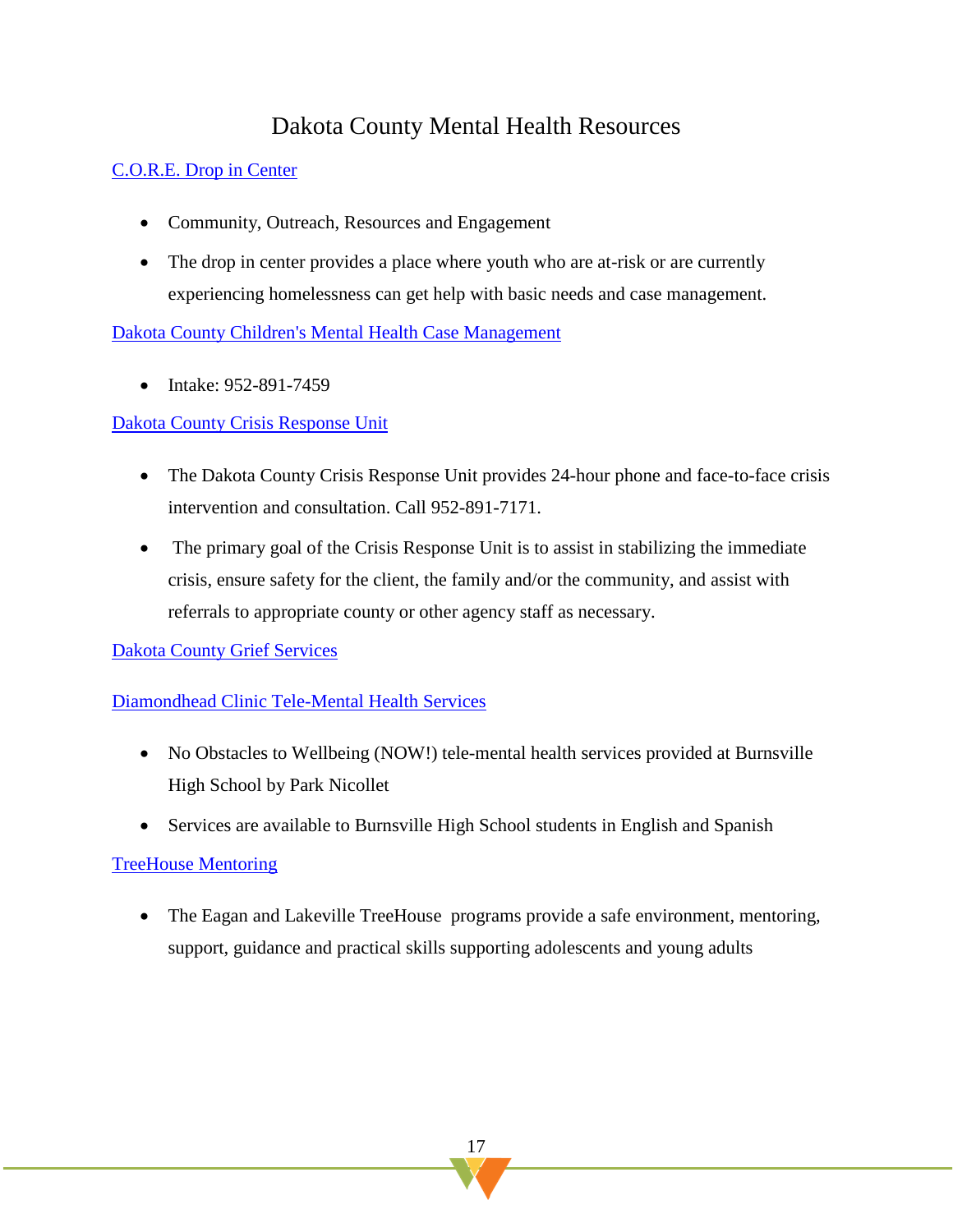### Dakota County Mental Health Resources

#### [C.O.R.E. Drop in Center](https://thelinkmn.org/core/)

- Community, Outreach, Resources and Engagement
- The drop in center provides a place where youth who are at-risk or are currently experiencing homelessness can get help with basic needs and case management.

[Dakota County Children's Mental Health Case Management](https://www.co.dakota.mn.us/HealthFamily/MentalHealth/Childrens/Pages/default.aspx) 

• Intake: 952-891-7459

#### [Dakota County Crisis Response Unit](https://www.co.dakota.mn.us/HealthFamily/HandlingEmergencies/Help)

- The Dakota County Crisis Response Unit provides 24-hour phone and face-to-face crisis intervention and consultation. Call 952-891-7171.
- The primary goal of the Crisis Response Unit is to assist in stabilizing the immediate crisis, ensure safety for the client, the family and/or the community, and assist with referrals to appropriate county or other agency staff as necessary.

[Dakota County Grief Services](https://www.co.dakota.mn.us/HealthFamily/MentalHealth/Training/Documents/GriefLossSupportServices.pdf)

#### [Diamondhead Clinic Tele-Mental Health Services](http://www.isd191.org/district-191-services-and-departments/health-services/diamondhead-clinic)

- No Obstacles to Wellbeing (NOW!) tele-mental health services provided at Burnsville High School by Park Nicollet
- Services are available to Burnsville High School students in English and Spanish

#### [TreeHouse Mentoring](https://www.treehouseyouth.org/)

• The Eagan and Lakeville TreeHouse programs provide a safe environment, mentoring, support, guidance and practical skills supporting adolescents and young adults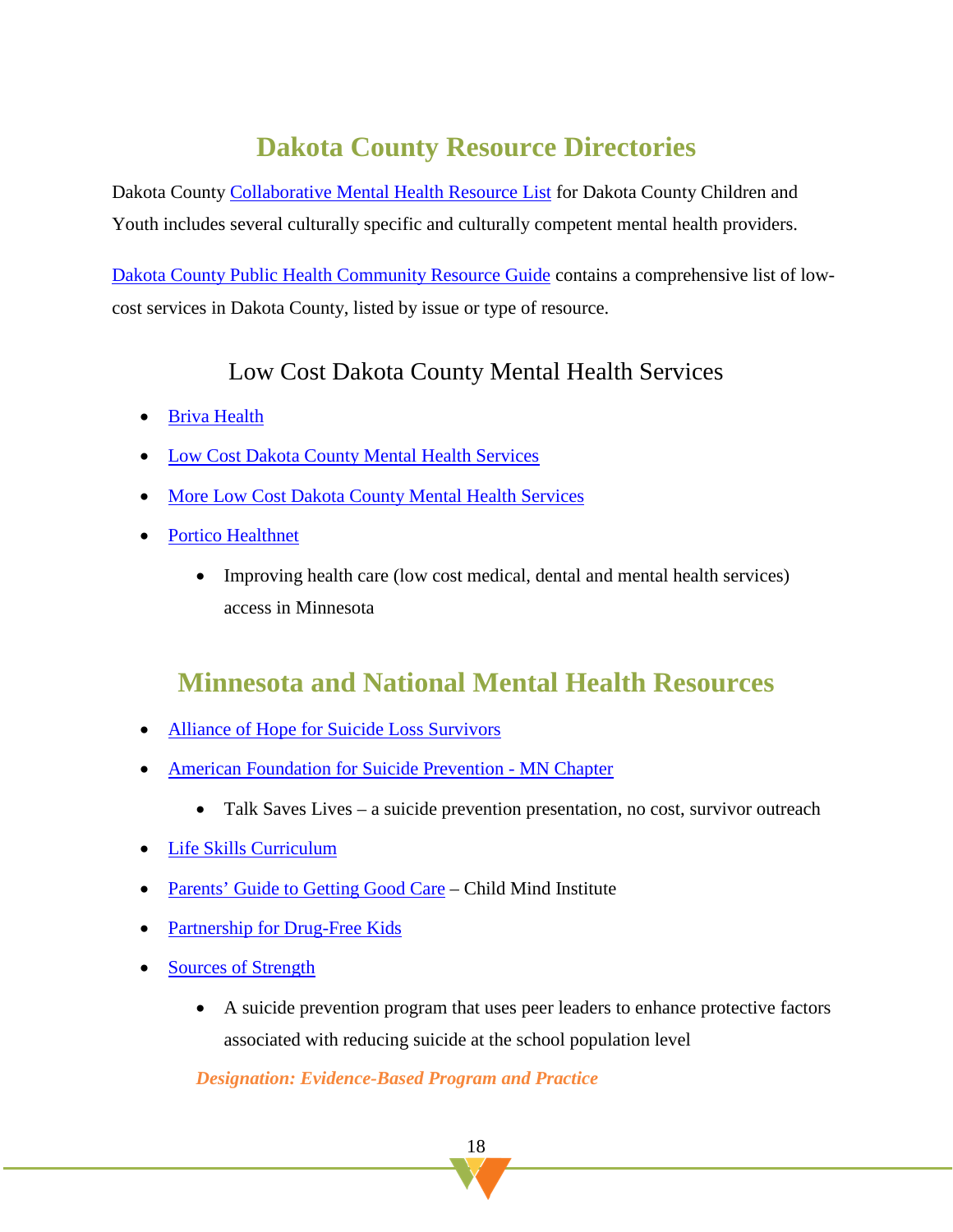# **Dakota County Resource Directories**

Dakota County [Collaborative Mental Health Resource List](https://www.co.dakota.mn.us/HealthFamily/Parenting/EarlyChildhoodDevelopment/Documents/ChildrenFamilyResourceDirectory.pdf) for Dakota County Children and Youth includes several culturally specific and culturally competent mental health providers.

[Dakota County Public Health Community Resource Guide](https://www.co.dakota.mn.us/HealthFamily/HealthServices/MoreLowCostServices/Documents/CommunityResourceGuide.pdf) contains a comprehensive list of lowcost services in Dakota County, listed by issue or type of resource.

### Low [Cost Dakota County Mental Health Services](https://www.co.dakota.mn.us/HealthFamily/MentalHealth/LowCostServices/Pages/default.aspx)

- [Briva Health](https://brivahealth.com/)
- [Low Cost Dakota County Mental Health Services](https://www.co.dakota.mn.us/HealthFamily/MentalHealth/LowCostServices)
- [More Low Cost Dakota County Mental Health Services](https://www.co.dakota.mn.us/HealthFamily/HealthServices/MoreLowCostServices)
- [Portico Healthnet](http://www.porticohealthnet.org/)
	- Improving health care (low cost medical, dental and mental health services) access in Minnesota

### <span id="page-19-0"></span>**Minnesota and National Mental Health Resources**

- [Alliance of Hope for Suicide Loss Survivors](https://allianceofhope.org/?gclid=EAIaIQobChMIubG-5PeY4wIVXp7ACh2RfwTEEAAYASAAEgIrffD_BwE)
- [American Foundation for Suicide Prevention -](https://afsp.org/chapter/afsp-greater-minnesota/) MN Chapter
	- Talk Saves Lives a suicide prevention presentation, no cost, survivor outreach
- [Life Skills Curriculum](https://www.overcomingobstacles.org/?gclid=EAIaIQobChMI67-49aqZ4wIVT_DACh2kwQBoEAAYASAAEgLLBPD_BwE)
- **Parents' Guide to [Getting Good Care](https://childmind.org/guide/parents-guide-getting-good-care-2/does-my-child-need-help/) Child Mind Institute**
- [Partnership for Drug-Free Kids](https://drugfree.org/)
- [Sources of Strength](https://sourcesofstrength.org/)
	- A suicide prevention program that uses peer leaders to enhance protective factors associated with reducing suicide at the school population level

*Designation: Evidence-Based Program and Practice*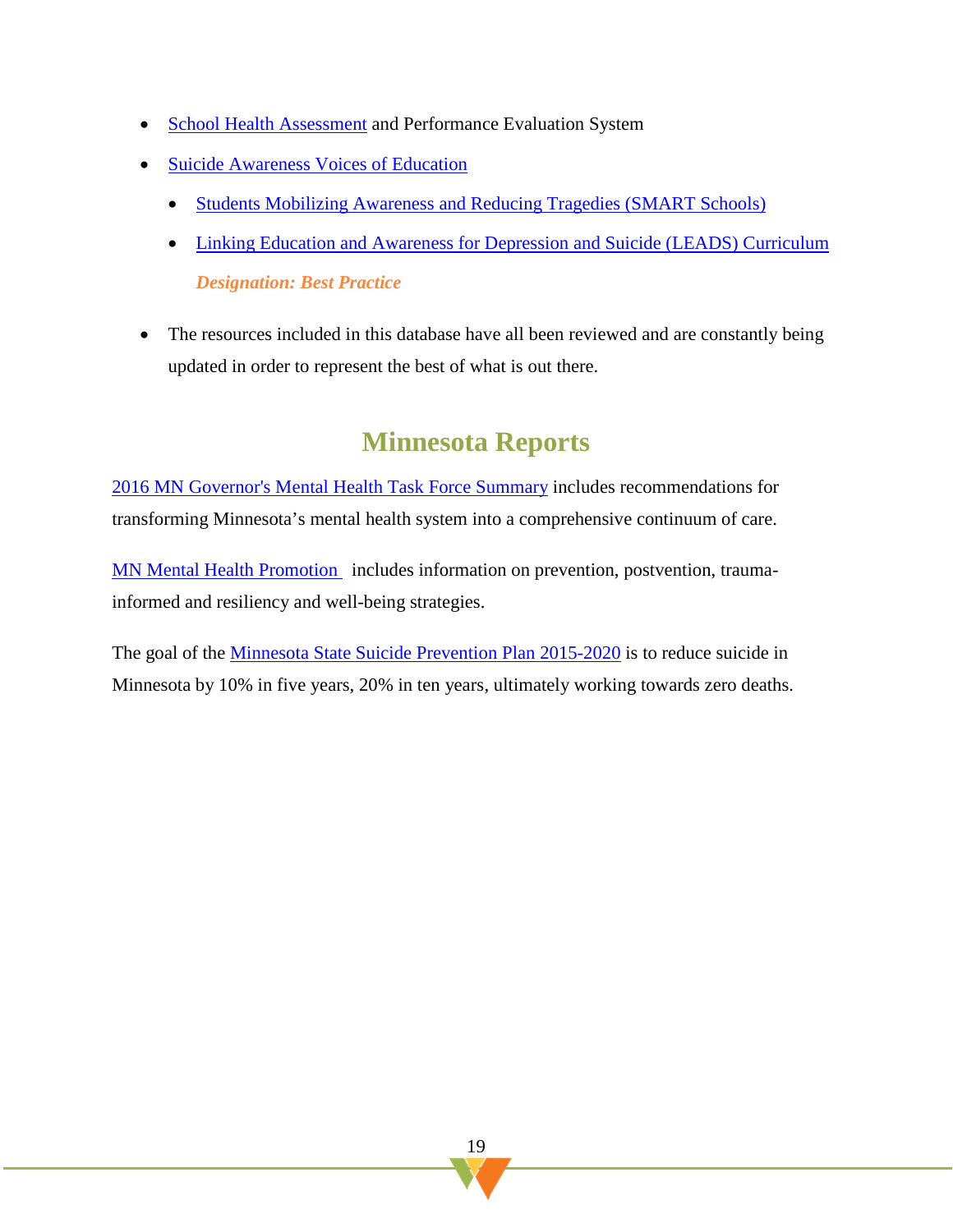- [School Health Assessment](https://theshapesystem.com/) and Performance Evaluation System
- [Suicide Awareness Voices of Education](https://save.org/)
	- [Students Mobilizing Awareness and Reducing Tragedies \(SMART Schools\)](https://save.org/what-we-do/education/smart-schools-program-2/)
	- [Linking Education and Awareness for Depression and Suicide \(LEADS\) Curriculum](https://save.org/what-we-do/education/leads-for-youth-program/) *Designation: Best Practice*
- <span id="page-20-0"></span>• The resources included in this database [have all been reviewed](http://www.extension.umn.edu/family/families-with-teens/resources-professionals/research-updates-for-professionals/additional-resources/docs/website-evaluation-criteria.pdf) and are constantly being updated in order to represent the best of what is out there.

# **Minnesota Reports**

[2016 MN Governor's Mental Health Task Force Summary](https://mn.gov/dhs/mental-health-tf/) includes recommendations for transforming Minnesota's mental health system into a comprehensive continuum of care.

[MN Mental Health Promotion](https://www.health.state.mn.us/communities/mentalhealth/) includes information on prevention, postvention, traumainformed and resiliency and well-being strategies.

<span id="page-20-1"></span>The goal of the [Minnesota State Suicide Prevention Plan 2015-2020](https://www.leg.state.mn.us/docs/2016/mandated/160589.pdf) is to reduce suicide in Minnesota by 10% in five years, 20% in ten years, ultimately working towards zero deaths.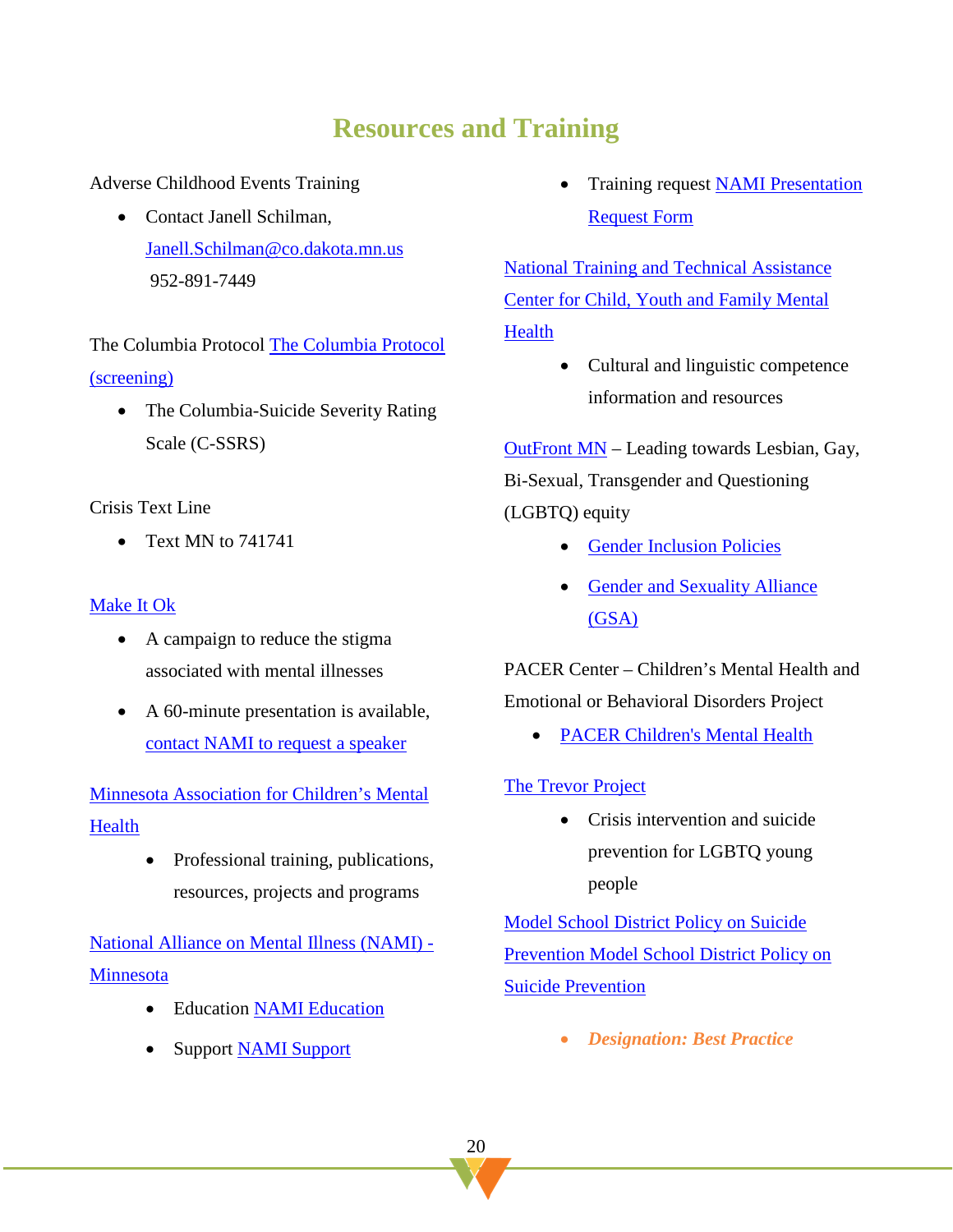# **Resources and Training**

Adverse Childhood Events Training

• Contact Janell Schilman, [Janell.Schilman@co.dakota.mn.us](mailto:Janell.Schilman@co.dakota.mn.us) 952-891-7449

The Columbia Protocol [The Columbia Protocol](http://cssrs.columbia.edu/the-columbia-scale-c-ssrs/about-the-scale/)  [\(screening\)](http://cssrs.columbia.edu/the-columbia-scale-c-ssrs/about-the-scale/)

• The Columbia-Suicide Severity Rating Scale (C-SSRS)

Crisis Text Line

• Text MN to 741741

#### [Make It Ok](https://www.google.com/search?q=make+it+ok)

- A campaign to reduce the stigma associated with mental illnesses
- A 60-minute presentation is available, [contact NAMI to request a speaker](http://form.jotform.us/form/30555095591155)

[Minnesota Association for Children's Mental](http://www.macmh.org/)  [Health](http://www.macmh.org/)

> • Professional training, publications, resources, projects and programs

[National Alliance on Mental Illness \(NAMI\) -](https://namimn.org/) **[Minnesota](https://namimn.org/)** 

- Education **NAMI** Education
- Support [NAMI Support](https://namimn.org/support/)

• Training request [NAMI Presentation](http://form.jotform.us/form/30555095591155)  [Request Form](http://form.jotform.us/form/30555095591155) 

[National Training and Technical Assistance](https://tanetwork.pro/)  [Center for Child, Youth and Family Mental](https://tanetwork.pro/)  **Health** 

> • Cultural and linguistic competence information and resources

[OutFront MN](https://www.outfront.org/) – Leading towards Lesbian, Gay, Bi-Sexual, Transgender and Questioning (LGBTQ) equity

- [Gender Inclusion Policies](https://www.outfront.org/gender-inclusion-policies)
- [Gender and Sexuality Alliance](https://www.outfront.org/youth-schools#gsas)  [\(GSA\)](https://www.outfront.org/youth-schools#gsas)

PACER Center – Children's Mental Health and Emotional or Behavioral Disorders Project

• [PACER Children's Mental Health](http://www.pacer.org/cmh/)

#### [The Trevor Project](https://www.thetrevorproject.org/#sm.0000qmkeg8phkfogt8l1083s66rqm)

• Crisis intervention and suicide prevention for LGBTQ young people

[Model School District Policy on Suicide](https://www.thetrevorproject.org/wp-content/uploads/2017/09/District-Policy.pdf)  [Prevention](https://www.thetrevorproject.org/wp-content/uploads/2017/09/District-Policy.pdf) [Model School District Policy on](https://afsp.org/wp-content/uploads/2016/01/Model-Policy_FINAL.pdf)  [Suicide Prevention](https://afsp.org/wp-content/uploads/2016/01/Model-Policy_FINAL.pdf)

• *Designation: Best Practice*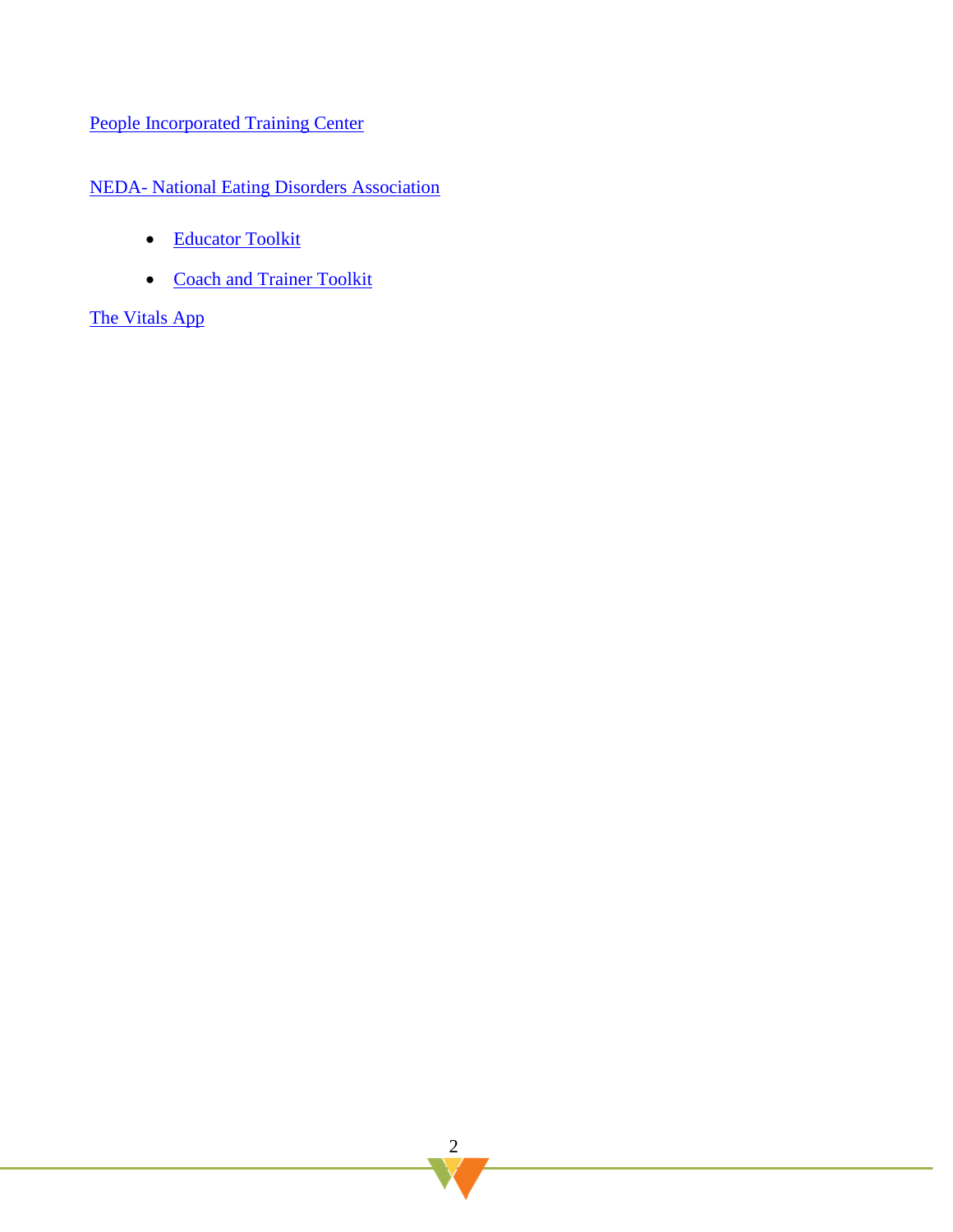#### [People Incorporated Training Center](https://www.peopleincorporated.org/training/)

#### NEDA- [National Eating Disorders Association](https://www.nationaleatingdisorders.org/warning-signs-and-symptoms)

- [Educator Toolkit](https://www.nationaleatingdisorders.org/sites/default/files/nedaw18/2.%20EducatorToolkit%20-%20Copy.pdf)
- [Coach and Trainer Toolkit](https://www.nationaleatingdisorders.org/sites/default/files/nedaw18/3.%20CoachandTrainerToolkit%20-%20Copy.pdf)

#### [The Vitals App](https://thevitalsapp.com/)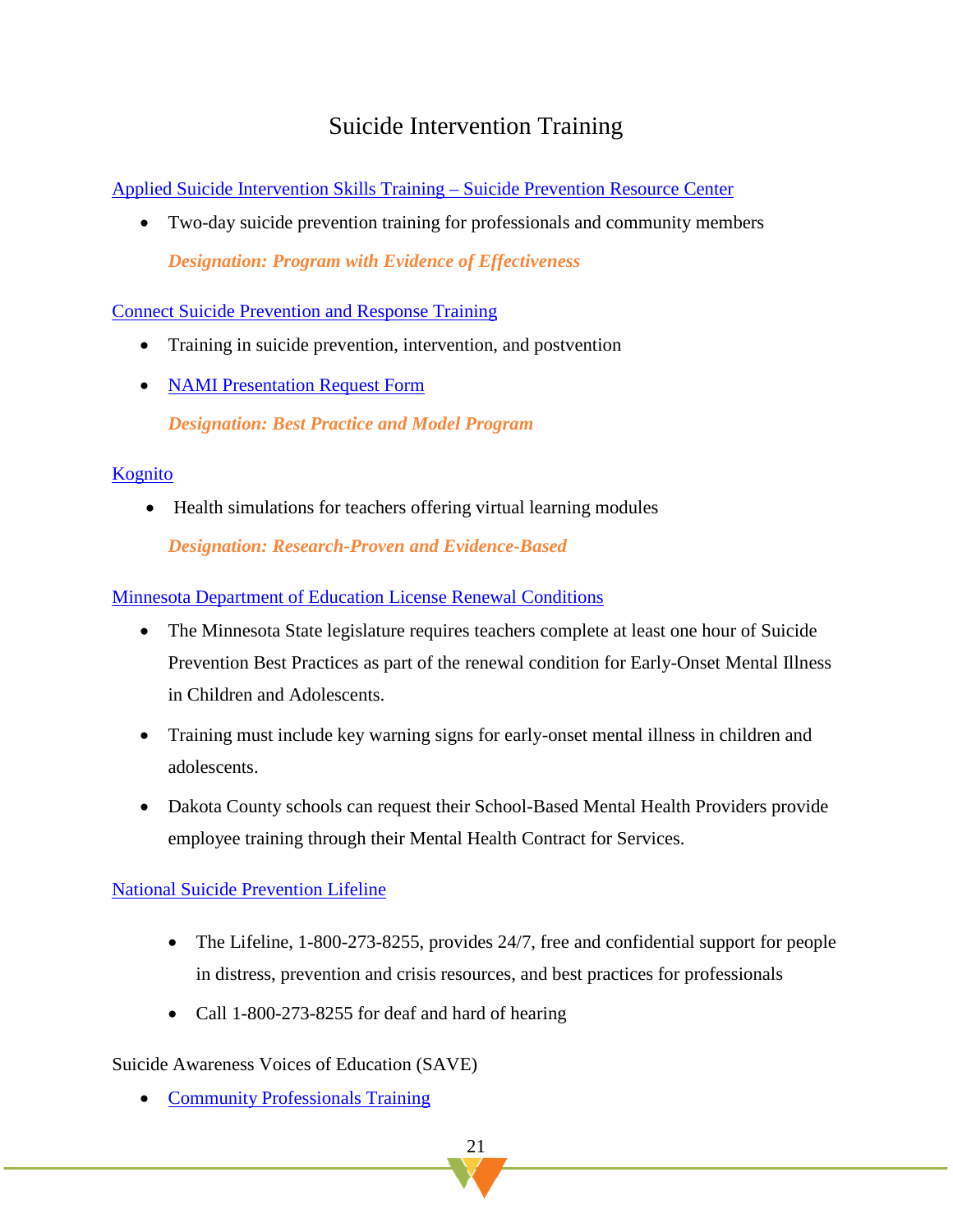### Suicide Intervention Training

[Applied Suicide Intervention Skills Training –](https://www.sprc.org/resources-programs/applied-suicide-intervention-skills-training-asist) Suicide Prevention Resource Center

• Two-day suicide prevention training for professionals and community members *Designation: Program with Evidence of Effectiveness*

[Connect Suicide Prevention and Response Training](http://www.theconnectprogram.org/)

- Training in suicide prevention, intervention, and postvention
- [NAMI Presentation Request Form](http://form.jotform.us/form/30555095591155)

*Designation: Best Practice and Model Program*

#### [Kognito](https://kognito.com/products?topics=Mental%20Health)

• Health simulations for teachers offering virtual learning modules

*Designation: Research-Proven and Evidence-Based*

[Minnesota Department of Education License Renewal Conditions](https://mn.gov/pelsb/current-educators/renew/)

- The Minnesota State legislature requires teachers complete at least one hour of Suicide Prevention Best Practices as part of the renewal condition for Early-Onset Mental Illness in Children and Adolescents.
- Training must include key warning signs for early-onset mental illness in children and adolescents.
- Dakota County schools can request their School-Based Mental Health Providers provide employee training through their Mental Health Contract for Services.

#### [National Suicide Prevention Lifeline](https://suicidepreventionlifeline.org/)

- The Lifeline, 1-800-273-8255, provides 24/7, free and confidential support for people in distress, prevention and crisis resources, and best practices for professionals
- Call 1-800-273-8255 for deaf and hard of hearing

#### Suicide Awareness Voices of Education (SAVE)

• [Community Professionals Training](https://save.org/what-we-do/training/)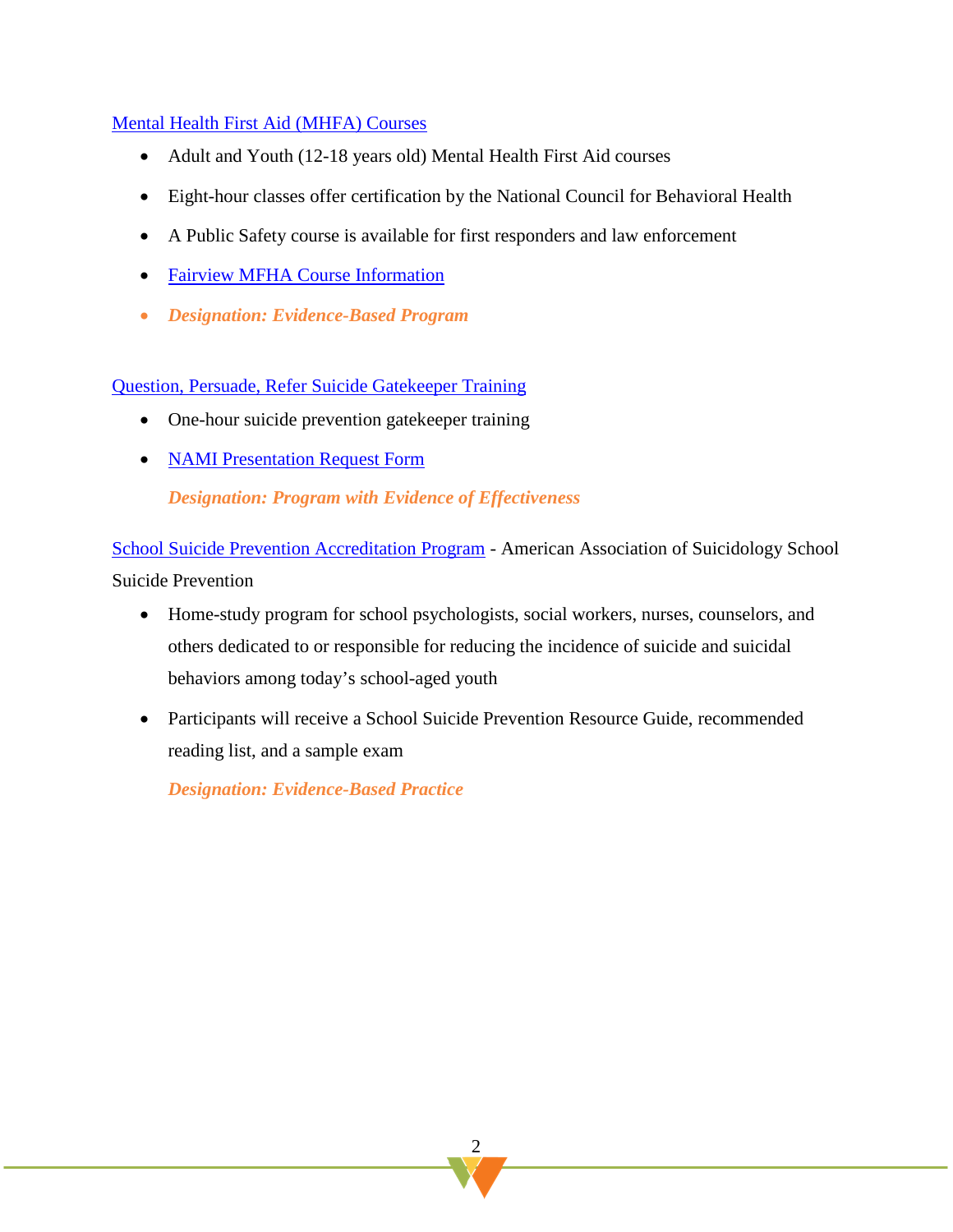#### [Mental Health First Aid](https://www.thenationalcouncil.org/training-courses/mental-health-first-aid/) (MHFA) Courses

- Adult and Youth (12-18 years old) Mental Health First Aid courses
- Eight-hour classes offer certification by the National Council for Behavioral Health
- A Public Safety course is available for first responders and law enforcement
- [Fairview MFHA Course Information](https://www.fairview.org/our-community-commitment/mental-health-first-aid)
- *Designation: Evidence-Based Program*

[Question, Persuade, Refer Suicide Gatekeeper Training](https://www.qprinstitute.com/) 

- One-hour suicide prevention gatekeeper training
- **[NAMI Presentation Request Form](http://form.jotform.us/form/30555095591155)**

*Designation: Program with Evidence of Effectiveness*

[School Suicide Prevention Accreditation Program](http://www.suicidology.org/training-accreditation/school-suicide-prevention-accreditation) - American Association of Suicidology School [Suicide Prevention](http://www.suicidology.org/training-accreditation/school-suicide-prevention-accreditation)

- Home-study program for school psychologists, social workers, nurses, counselors, and others dedicated to or responsible for reducing the incidence of suicide and suicidal behaviors among today's school-aged youth
- Participants will receive a School Suicide Prevention Resource Guide, recommended reading list, and a sample exam

*Designation: Evidence-Based Practice*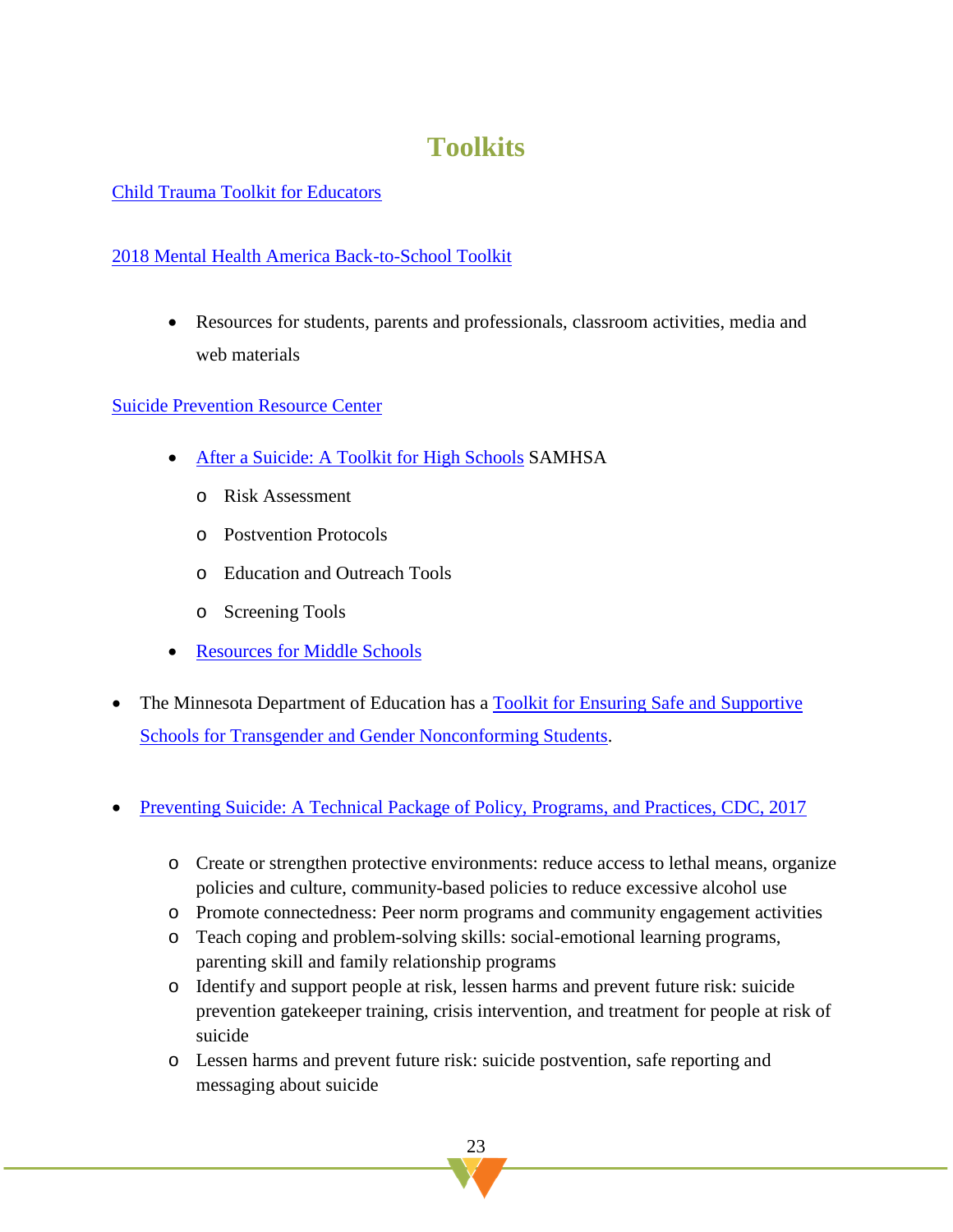# **Toolkits**

#### [Child Trauma Toolkit for Educators](https://www.nctsn.org/resources/child-trauma-toolkit-educators)

#### [2018 Mental Health America Back-to-School Toolkit](https://www.mentalhealthamerica.net/back-school?gclid=EAIaIQobChMInNPgh_OY4wIVh4uzCh3PvQ6wEAAYASAAEgJqZfD_BwE)

• Resources for students, parents and professionals, classroom activities, media and web materials

#### [Suicide Prevention Resource Center](http://www.sprc.org/)

- [After a Suicide: A Toolkit for High Schools](http://www.sprc.org/sites/default/files/migrate/library/AfteraSuicideToolkitforSchools.pdf) SAMHSA
	- o Risk Assessment
	- o Postvention Protocols
	- o Education and Outreach Tools
	- o Screening Tools
- [Resources for Middle Schools](https://www.sprc.org/settings/middle-school)
- The Minnesota Department of Education has a [Toolkit for Ensuring Safe and Supportive](http://education.state.mn.us/MDE/dse/safe/059780)  [Schools for Transgender and Gender Nonconforming Students.](http://education.state.mn.us/MDE/dse/safe/059780)
- [Preventing Suicide: A Technical Package of Policy, Programs, and Practices, CDC, 2017](https://www.cdc.gov/violenceprevention/pdf/suicideTechnicalPackage.pdf)
	- o Create or strengthen protective environments: reduce access to lethal means, organize policies and culture, community-based policies to reduce excessive alcohol use
	- o Promote connectedness: Peer norm programs and community engagement activities
	- o Teach coping and problem-solving skills: social-emotional learning programs, parenting skill and family relationship programs
	- o Identify and support people at risk, lessen harms and prevent future risk: suicide prevention gatekeeper training, crisis intervention, and treatment for people at risk of suicide
	- o Lessen harms and prevent future risk: suicide postvention, safe reporting and messaging about suicide